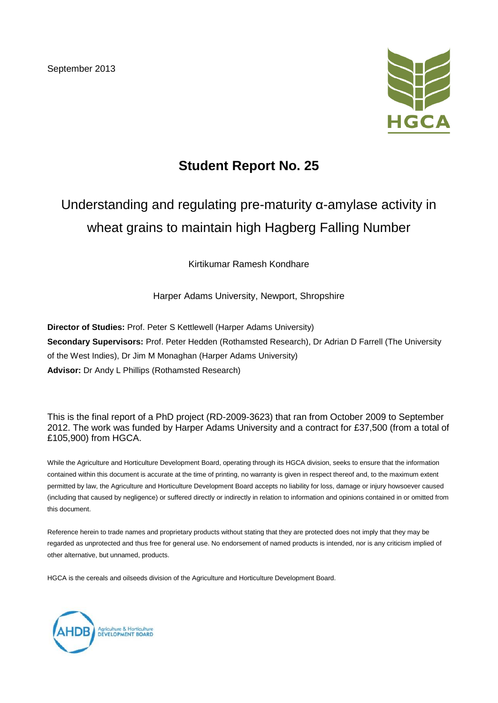September 2013



## **Student Report No. 25**

# Understanding and regulating pre-maturity α-amylase activity in wheat grains to maintain high Hagberg Falling Number

### Kirtikumar Ramesh Kondhare

Harper Adams University, Newport, Shropshire

**Director of Studies:** Prof. Peter S Kettlewell (Harper Adams University) **Secondary Supervisors:** Prof. Peter Hedden (Rothamsted Research), Dr Adrian D Farrell (The University of the West Indies), Dr Jim M Monaghan (Harper Adams University) **Advisor:** Dr Andy L Phillips (Rothamsted Research)

This is the final report of a PhD project (RD-2009-3623) that ran from October 2009 to September 2012. The work was funded by Harper Adams University and a contract for £37,500 (from a total of £105,900) from HGCA.

While the Agriculture and Horticulture Development Board, operating through its HGCA division, seeks to ensure that the information contained within this document is accurate at the time of printing, no warranty is given in respect thereof and, to the maximum extent permitted by law, the Agriculture and Horticulture Development Board accepts no liability for loss, damage or injury howsoever caused (including that caused by negligence) or suffered directly or indirectly in relation to information and opinions contained in or omitted from this document.

Reference herein to trade names and proprietary products without stating that they are protected does not imply that they may be regarded as unprotected and thus free for general use. No endorsement of named products is intended, nor is any criticism implied of other alternative, but unnamed, products.

HGCA is the cereals and oilseeds division of the Agriculture and Horticulture Development Board.

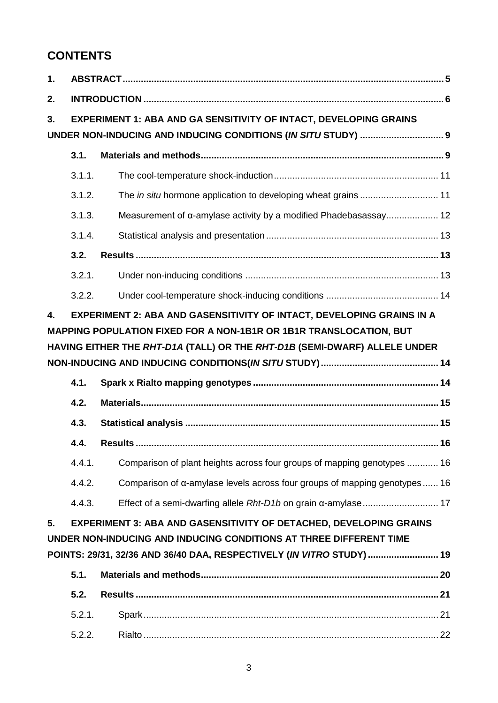## **CONTENTS**

| 2. |                                                                                   |                                                                                   |  |  |  |  |  |  |
|----|-----------------------------------------------------------------------------------|-----------------------------------------------------------------------------------|--|--|--|--|--|--|
| 3. | EXPERIMENT 1: ABA AND GA SENSITIVITY OF INTACT, DEVELOPING GRAINS                 |                                                                                   |  |  |  |  |  |  |
|    |                                                                                   |                                                                                   |  |  |  |  |  |  |
|    | 3.1.                                                                              |                                                                                   |  |  |  |  |  |  |
|    | 3.1.1.                                                                            |                                                                                   |  |  |  |  |  |  |
|    | 3.1.2.                                                                            | The in situ hormone application to developing wheat grains  11                    |  |  |  |  |  |  |
|    | 3.1.3.                                                                            |                                                                                   |  |  |  |  |  |  |
|    | 3.1.4.                                                                            |                                                                                   |  |  |  |  |  |  |
|    | 3.2.                                                                              |                                                                                   |  |  |  |  |  |  |
|    | 3.2.1.                                                                            |                                                                                   |  |  |  |  |  |  |
|    | 3.2.2.                                                                            |                                                                                   |  |  |  |  |  |  |
|    | HAVING EITHER THE RHT-D1A (TALL) OR THE RHT-D1B (SEMI-DWARF) ALLELE UNDER<br>4.1. |                                                                                   |  |  |  |  |  |  |
|    |                                                                                   |                                                                                   |  |  |  |  |  |  |
|    | 4.2.                                                                              |                                                                                   |  |  |  |  |  |  |
|    | 4.3.                                                                              |                                                                                   |  |  |  |  |  |  |
|    | 4.4.                                                                              |                                                                                   |  |  |  |  |  |  |
|    | 4.4.1.                                                                            | Comparison of plant heights across four groups of mapping genotypes  16           |  |  |  |  |  |  |
|    | 4.4.2.                                                                            | Comparison of $\alpha$ -amylase levels across four groups of mapping genotypes 16 |  |  |  |  |  |  |
| 5. | 4.4.3.                                                                            | <b>EXPERIMENT 3: ABA AND GASENSITIVITY OF DETACHED, DEVELOPING GRAINS</b>         |  |  |  |  |  |  |
|    |                                                                                   | UNDER NON-INDUCING AND INDUCING CONDITIONS AT THREE DIFFERENT TIME                |  |  |  |  |  |  |
|    |                                                                                   | POINTS: 29/31, 32/36 AND 36/40 DAA, RESPECTIVELY (IN VITRO STUDY)  19             |  |  |  |  |  |  |
|    | 5.1.                                                                              |                                                                                   |  |  |  |  |  |  |
|    | 5.2.<br>5.2.1.                                                                    |                                                                                   |  |  |  |  |  |  |
|    |                                                                                   |                                                                                   |  |  |  |  |  |  |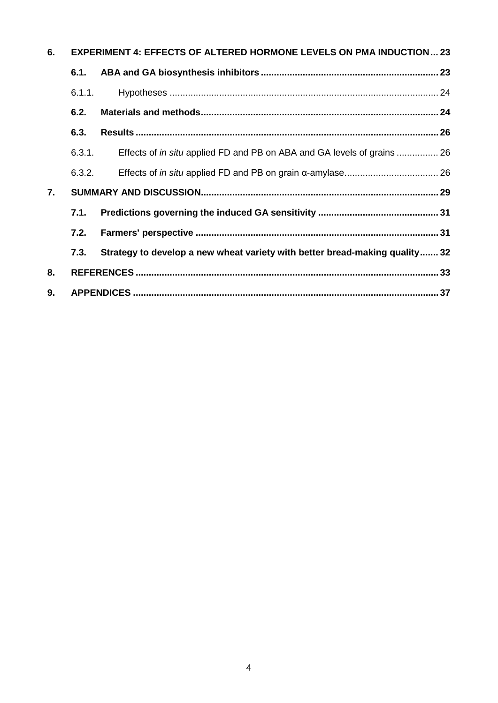| 6. | <b>EXPERIMENT 4: EFFECTS OF ALTERED HORMONE LEVELS ON PMA INDUCTION 23</b> |                                                                             |  |  |  |  |
|----|----------------------------------------------------------------------------|-----------------------------------------------------------------------------|--|--|--|--|
|    | 6.1.                                                                       |                                                                             |  |  |  |  |
|    | 6.1.1.                                                                     |                                                                             |  |  |  |  |
|    | 6.2.                                                                       |                                                                             |  |  |  |  |
|    | 6.3.                                                                       |                                                                             |  |  |  |  |
|    | 6.3.1.                                                                     | Effects of in situ applied FD and PB on ABA and GA levels of grains  26     |  |  |  |  |
|    | 6.3.2.                                                                     |                                                                             |  |  |  |  |
| 7. |                                                                            |                                                                             |  |  |  |  |
|    | 7.1.                                                                       |                                                                             |  |  |  |  |
|    | 7.2.                                                                       |                                                                             |  |  |  |  |
|    | 7.3.                                                                       | Strategy to develop a new wheat variety with better bread-making quality 32 |  |  |  |  |
| 8. |                                                                            |                                                                             |  |  |  |  |
| 9. |                                                                            |                                                                             |  |  |  |  |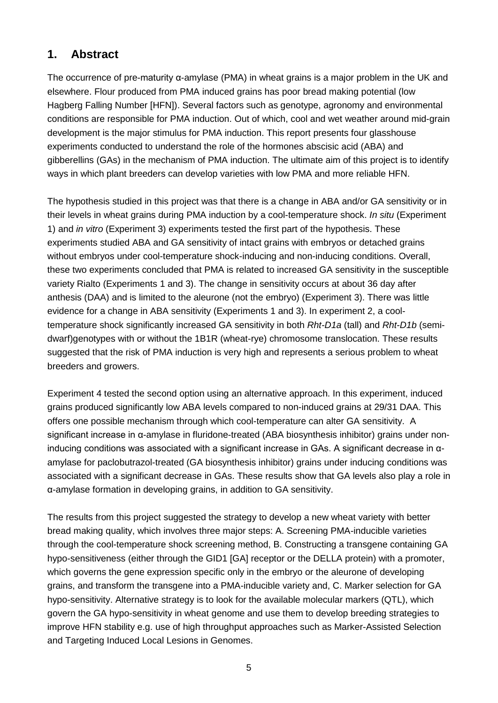## **1. Abstract**

The occurrence of pre-maturity α-amylase (PMA) in wheat grains is a major problem in the UK and elsewhere. Flour produced from PMA induced grains has poor bread making potential (low Hagberg Falling Number [HFN]). Several factors such as genotype, agronomy and environmental conditions are responsible for PMA induction. Out of which, cool and wet weather around mid-grain development is the major stimulus for PMA induction. This report presents four glasshouse experiments conducted to understand the role of the hormones abscisic acid (ABA) and gibberellins (GAs) in the mechanism of PMA induction. The ultimate aim of this project is to identify ways in which plant breeders can develop varieties with low PMA and more reliable HFN.

The hypothesis studied in this project was that there is a change in ABA and/or GA sensitivity or in their levels in wheat grains during PMA induction by a cool-temperature shock. *In situ* (Experiment 1) and *in vitro* (Experiment 3) experiments tested the first part of the hypothesis. These experiments studied ABA and GA sensitivity of intact grains with embryos or detached grains without embryos under cool-temperature shock-inducing and non-inducing conditions. Overall, these two experiments concluded that PMA is related to increased GA sensitivity in the susceptible variety Rialto (Experiments 1 and 3). The change in sensitivity occurs at about 36 day after anthesis (DAA) and is limited to the aleurone (not the embryo) (Experiment 3). There was little evidence for a change in ABA sensitivity (Experiments 1 and 3). In experiment 2, a cooltemperature shock significantly increased GA sensitivity in both *Rht-D1a* (tall) and *Rht-D1b* (semidwarf)genotypes with or without the 1B1R (wheat-rye) chromosome translocation. These results suggested that the risk of PMA induction is very high and represents a serious problem to wheat breeders and growers.

Experiment 4 tested the second option using an alternative approach. In this experiment, induced grains produced significantly low ABA levels compared to non-induced grains at 29/31 DAA. This offers one possible mechanism through which cool-temperature can alter GA sensitivity. A significant increase in α-amylase in fluridone-treated (ABA biosynthesis inhibitor) grains under noninducing conditions was associated with a significant increase in GAs. A significant decrease in αamylase for paclobutrazol-treated (GA biosynthesis inhibitor) grains under inducing conditions was associated with a significant decrease in GAs. These results show that GA levels also play a role in α-amylase formation in developing grains, in addition to GA sensitivity.

The results from this project suggested the strategy to develop a new wheat variety with better bread making quality, which involves three major steps: A. Screening PMA-inducible varieties through the cool-temperature shock screening method, B. Constructing a transgene containing GA hypo-sensitiveness (either through the GID1 [GA] receptor or the DELLA protein) with a promoter, which governs the gene expression specific only in the embryo or the aleurone of developing grains, and transform the transgene into a PMA-inducible variety and, C. Marker selection for GA hypo-sensitivity. Alternative strategy is to look for the available molecular markers (QTL), which govern the GA hypo-sensitivity in wheat genome and use them to develop breeding strategies to improve HFN stability e.g. use of high throughput approaches such as Marker-Assisted Selection and Targeting Induced Local Lesions in Genomes.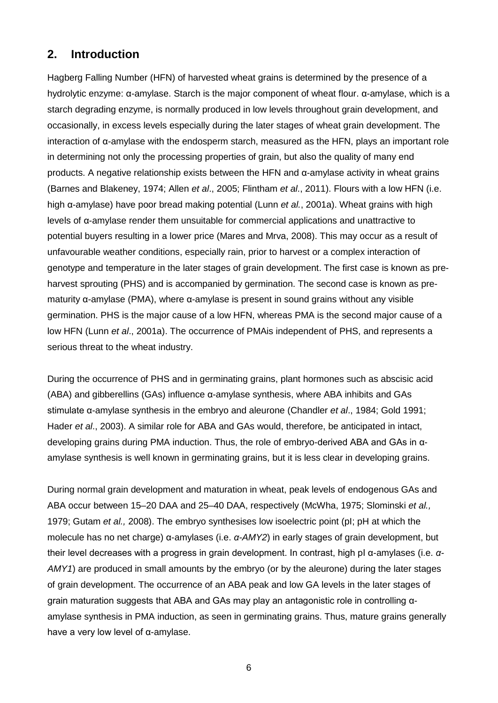## **2. Introduction**

Hagberg Falling Number (HFN) of harvested wheat grains is determined by the presence of a hydrolytic enzyme: α-amylase. Starch is the major component of wheat flour. α-amylase, which is a starch degrading enzyme, is normally produced in low levels throughout grain development, and occasionally, in excess levels especially during the later stages of wheat grain development. The interaction of α-amylase with the endosperm starch, measured as the HFN, plays an important role in determining not only the processing properties of grain, but also the quality of many end products. A negative relationship exists between the HFN and α-amylase activity in wheat grains (Barnes and Blakeney, 1974; Allen *et al*., 2005; Flintham *et al*., 2011). Flours with a low HFN (i.e. high α-amylase) have poor bread making potential (Lunn *et al.*, 2001a). Wheat grains with high levels of α-amylase render them unsuitable for commercial applications and unattractive to potential buyers resulting in a lower price (Mares and Mrva, 2008). This may occur as a result of unfavourable weather conditions, especially rain, prior to harvest or a complex interaction of genotype and temperature in the later stages of grain development. The first case is known as preharvest sprouting (PHS) and is accompanied by germination. The second case is known as prematurity α-amylase (PMA), where α-amylase is present in sound grains without any visible germination. PHS is the major cause of a low HFN, whereas PMA is the second major cause of a low HFN (Lunn *et al*., 2001a). The occurrence of PMAis independent of PHS, and represents a serious threat to the wheat industry.

During the occurrence of PHS and in germinating grains, plant hormones such as abscisic acid (ABA) and gibberellins (GAs) influence α-amylase synthesis, where ABA inhibits and GAs stimulate α-amylase synthesis in the embryo and aleurone (Chandler *et al*., 1984; Gold 1991; Hader *et al*., 2003). A similar role for ABA and GAs would, therefore, be anticipated in intact, developing grains during PMA induction. Thus, the role of embryo-derived ABA and GAs in αamylase synthesis is well known in germinating grains, but it is less clear in developing grains.

During normal grain development and maturation in wheat, peak levels of endogenous GAs and ABA occur between 15–20 DAA and 25–40 DAA, respectively (McWha, 1975; Slominski *et al.,* 1979; Gutam *et al.,* 2008). The embryo synthesises low isoelectric point (pI; pH at which the molecule has no net charge) α-amylases (i.e. *α-AMY2*) in early stages of grain development, but their level decreases with a progress in grain development. In contrast, high pI α-amylases (i.e. *α-AMY1*) are produced in small amounts by the embryo (or by the aleurone) during the later stages of grain development. The occurrence of an ABA peak and low GA levels in the later stages of grain maturation suggests that ABA and GAs may play an antagonistic role in controlling αamylase synthesis in PMA induction, as seen in germinating grains. Thus, mature grains generally have a very low level of α-amylase.

6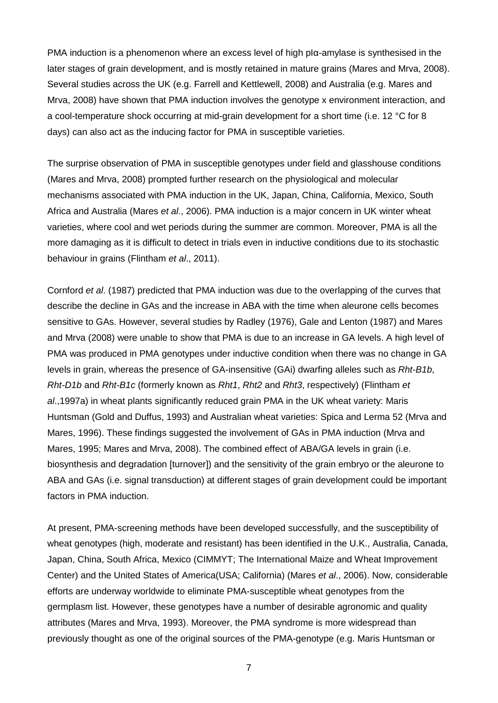PMA induction is a phenomenon where an excess level of high pIα-amylase is synthesised in the later stages of grain development, and is mostly retained in mature grains (Mares and Mrva, 2008). Several studies across the UK (e.g. Farrell and Kettlewell, 2008) and Australia (e.g. Mares and Mrva, 2008) have shown that PMA induction involves the genotype x environment interaction, and a cool-temperature shock occurring at mid-grain development for a short time (i.e. 12 °C for 8 days) can also act as the inducing factor for PMA in susceptible varieties.

The surprise observation of PMA in susceptible genotypes under field and glasshouse conditions (Mares and Mrva, 2008) prompted further research on the physiological and molecular mechanisms associated with PMA induction in the UK, Japan, China, California, Mexico, South Africa and Australia (Mares *et al*., 2006). PMA induction is a major concern in UK winter wheat varieties, where cool and wet periods during the summer are common. Moreover, PMA is all the more damaging as it is difficult to detect in trials even in inductive conditions due to its stochastic behaviour in grains (Flintham *et al*., 2011).

Cornford *et al*. (1987) predicted that PMA induction was due to the overlapping of the curves that describe the decline in GAs and the increase in ABA with the time when aleurone cells becomes sensitive to GAs. However, several studies by Radley (1976), Gale and Lenton (1987) and Mares and Mrva (2008) were unable to show that PMA is due to an increase in GA levels. A high level of PMA was produced in PMA genotypes under inductive condition when there was no change in GA levels in grain, whereas the presence of GA-insensitive (GAi) dwarfing alleles such as *Rht-B1b*, *Rht-D1b* and *Rht-B1c* (formerly known as *Rht1*, *Rht2* and *Rht3*, respectively) (Flintham *et al*.,1997a) in wheat plants significantly reduced grain PMA in the UK wheat variety: Maris Huntsman (Gold and Duffus, 1993) and Australian wheat varieties: Spica and Lerma 52 (Mrva and Mares, 1996). These findings suggested the involvement of GAs in PMA induction (Mrva and Mares, 1995; Mares and Mrva, 2008). The combined effect of ABA/GA levels in grain (i.e. biosynthesis and degradation [turnover]) and the sensitivity of the grain embryo or the aleurone to ABA and GAs (i.e. signal transduction) at different stages of grain development could be important factors in PMA induction.

At present, PMA-screening methods have been developed successfully, and the susceptibility of wheat genotypes (high, moderate and resistant) has been identified in the U.K., Australia, Canada, Japan, China, South Africa, Mexico (CIMMYT; The International Maize and Wheat Improvement Center) and the United States of America(USA; California) (Mares *et al*., 2006). Now, considerable efforts are underway worldwide to eliminate PMA-susceptible wheat genotypes from the germplasm list. However, these genotypes have a number of desirable agronomic and quality attributes (Mares and Mrva, 1993). Moreover, the PMA syndrome is more widespread than previously thought as one of the original sources of the PMA-genotype (e.g. Maris Huntsman or

7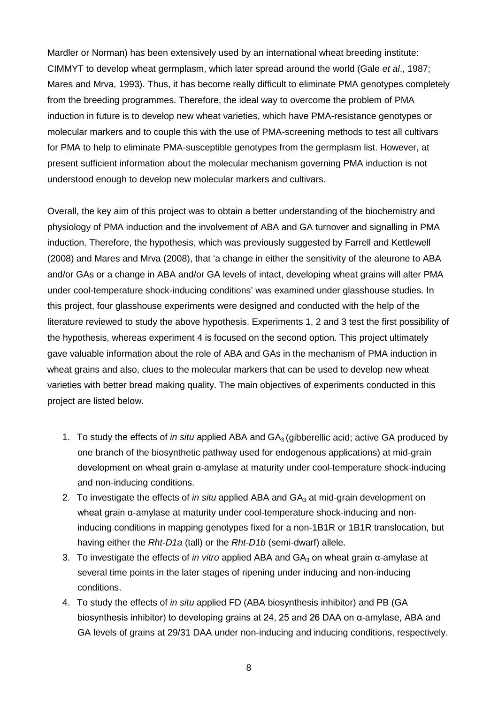Mardler or Norman) has been extensively used by an international wheat breeding institute: CIMMYT to develop wheat germplasm, which later spread around the world (Gale *et al*., 1987; Mares and Mrva, 1993). Thus, it has become really difficult to eliminate PMA genotypes completely from the breeding programmes. Therefore, the ideal way to overcome the problem of PMA induction in future is to develop new wheat varieties, which have PMA-resistance genotypes or molecular markers and to couple this with the use of PMA-screening methods to test all cultivars for PMA to help to eliminate PMA-susceptible genotypes from the germplasm list. However, at present sufficient information about the molecular mechanism governing PMA induction is not understood enough to develop new molecular markers and cultivars.

Overall, the key aim of this project was to obtain a better understanding of the biochemistry and physiology of PMA induction and the involvement of ABA and GA turnover and signalling in PMA induction. Therefore, the hypothesis, which was previously suggested by Farrell and Kettlewell (2008) and Mares and Mrva (2008), that 'a change in either the sensitivity of the aleurone to ABA and/or GAs or a change in ABA and/or GA levels of intact, developing wheat grains will alter PMA under cool-temperature shock-inducing conditions' was examined under glasshouse studies. In this project, four glasshouse experiments were designed and conducted with the help of the literature reviewed to study the above hypothesis. Experiments 1, 2 and 3 test the first possibility of the hypothesis, whereas experiment 4 is focused on the second option. This project ultimately gave valuable information about the role of ABA and GAs in the mechanism of PMA induction in wheat grains and also, clues to the molecular markers that can be used to develop new wheat varieties with better bread making quality. The main objectives of experiments conducted in this project are listed below.

- 1. To study the effects of *in situ* applied ABA and GA<sub>3</sub> (gibberellic acid; active GA produced by one branch of the biosynthetic pathway used for endogenous applications) at mid-grain development on wheat grain α-amylase at maturity under cool-temperature shock-inducing and non-inducing conditions.
- 2. To investigate the effects of *in situ* applied ABA and GA<sub>3</sub> at mid-grain development on wheat grain α-amylase at maturity under cool-temperature shock-inducing and noninducing conditions in mapping genotypes fixed for a non-1B1R or 1B1R translocation, but having either the *Rht-D1a* (tall) or the *Rht-D1b* (semi-dwarf) allele.
- 3. To investigate the effects of *in vitro* applied ABA and GA<sub>3</sub> on wheat grain α-amylase at several time points in the later stages of ripening under inducing and non-inducing conditions.
- 4. To study the effects of *in situ* applied FD (ABA biosynthesis inhibitor) and PB (GA biosynthesis inhibitor) to developing grains at 24, 25 and 26 DAA on α-amylase, ABA and GA levels of grains at 29/31 DAA under non-inducing and inducing conditions, respectively.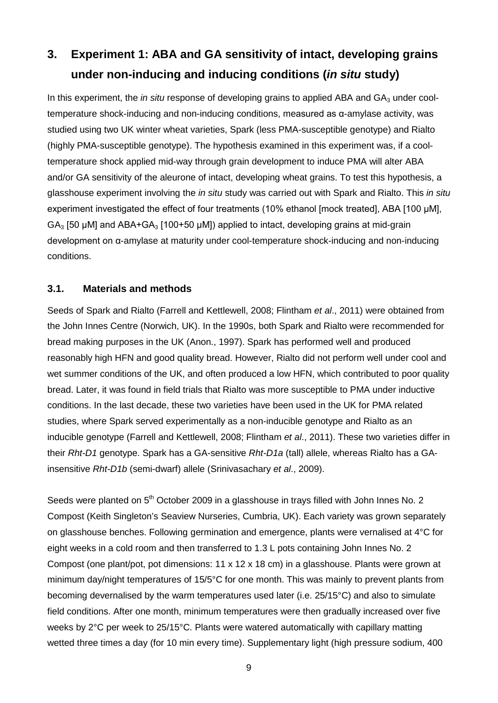# **3. Experiment 1: ABA and GA sensitivity of intact, developing grains under non-inducing and inducing conditions (***in situ* **study)**

In this experiment, the *in situ* response of developing grains to applied ABA and GA<sub>3</sub> under cooltemperature shock-inducing and non-inducing conditions, measured as α-amylase activity, was studied using two UK winter wheat varieties, Spark (less PMA-susceptible genotype) and Rialto (highly PMA-susceptible genotype). The hypothesis examined in this experiment was, if a cooltemperature shock applied mid-way through grain development to induce PMA will alter ABA and/or GA sensitivity of the aleurone of intact, developing wheat grains. To test this hypothesis, a glasshouse experiment involving the *in situ* study was carried out with Spark and Rialto. This *in situ* experiment investigated the effect of four treatments (10% ethanol [mock treated], ABA [100 μM],  $GA<sub>3</sub>$  [50 µM] and ABA+GA<sub>3</sub> [100+50 µM]) applied to intact, developing grains at mid-grain development on α-amylase at maturity under cool-temperature shock-inducing and non-inducing conditions.

### **3.1. Materials and methods**

Seeds of Spark and Rialto (Farrell and Kettlewell, 2008; Flintham *et al*., 2011) were obtained from the John Innes Centre (Norwich, UK). In the 1990s, both Spark and Rialto were recommended for bread making purposes in the UK (Anon., 1997). Spark has performed well and produced reasonably high HFN and good quality bread. However, Rialto did not perform well under cool and wet summer conditions of the UK, and often produced a low HFN, which contributed to poor quality bread. Later, it was found in field trials that Rialto was more susceptible to PMA under inductive conditions. In the last decade, these two varieties have been used in the UK for PMA related studies, where Spark served experimentally as a non-inducible genotype and Rialto as an inducible genotype (Farrell and Kettlewell, 2008; Flintham *et al*., 2011). These two varieties differ in their *Rht-D1* genotype. Spark has a GA-sensitive *Rht-D1a* (tall) allele, whereas Rialto has a GAinsensitive *Rht-D1b* (semi-dwarf) allele (Srinivasachary *et al*., 2009).

Seeds were planted on 5<sup>th</sup> October 2009 in a glasshouse in trays filled with John Innes No. 2 Compost (Keith Singleton's Seaview Nurseries, Cumbria, UK). Each variety was grown separately on glasshouse benches. Following germination and emergence, plants were vernalised at 4°C for eight weeks in a cold room and then transferred to 1.3 L pots containing John Innes No. 2 Compost (one plant/pot, pot dimensions: 11 x 12 x 18 cm) in a glasshouse. Plants were grown at minimum day/night temperatures of 15/5°C for one month. This was mainly to prevent plants from becoming devernalised by the warm temperatures used later (i.e. 25/15°C) and also to simulate field conditions. After one month, minimum temperatures were then gradually increased over five weeks by 2°C per week to 25/15°C. Plants were watered automatically with capillary matting wetted three times a day (for 10 min every time). Supplementary light (high pressure sodium, 400

9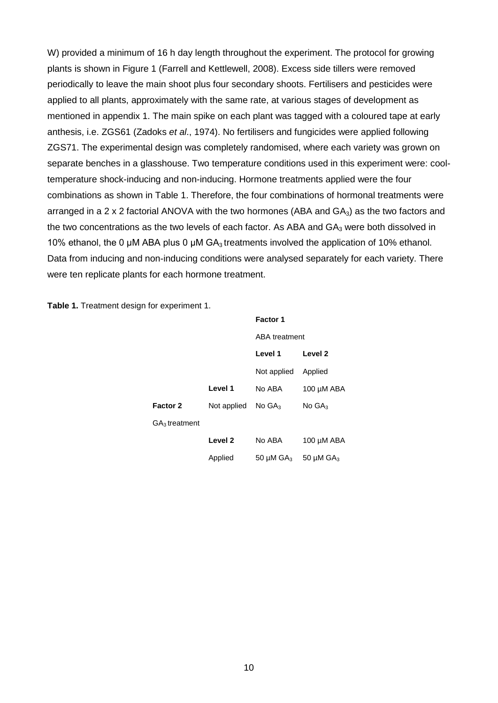W) provided a minimum of 16 h day length throughout the experiment. The protocol for growing plants is shown in Figure 1 (Farrell and Kettlewell, 2008). Excess side tillers were removed periodically to leave the main shoot plus four secondary shoots. Fertilisers and pesticides were applied to all plants, approximately with the same rate, at various stages of development as mentioned in appendix 1. The main spike on each plant was tagged with a coloured tape at early anthesis, i.e. ZGS61 (Zadoks *et al*., 1974). No fertilisers and fungicides were applied following ZGS71. The experimental design was completely randomised, where each variety was grown on separate benches in a glasshouse. Two temperature conditions used in this experiment were: cooltemperature shock-inducing and non-inducing. Hormone treatments applied were the four combinations as shown in Table 1. Therefore, the four combinations of hormonal treatments were arranged in a 2 x 2 factorial ANOVA with the two hormones (ABA and  $GA_3$ ) as the two factors and the two concentrations as the two levels of each factor. As ABA and  $GA<sub>3</sub>$  were both dissolved in 10% ethanol, the 0 μM ABA plus 0 μM  $GA_3$  treatments involved the application of 10% ethanol. Data from inducing and non-inducing conditions were analysed separately for each variety. There were ten replicate plants for each hormone treatment.

|  |  |  | Table 1. Treatment design for experiment 1. |  |
|--|--|--|---------------------------------------------|--|
|--|--|--|---------------------------------------------|--|

|                           |             | <b>Factor 1</b>      |                            |  |
|---------------------------|-------------|----------------------|----------------------------|--|
|                           |             | <b>ABA</b> treatment |                            |  |
|                           |             | Level 1              | Level <sub>2</sub>         |  |
|                           |             | Not applied          | Applied                    |  |
|                           | Level 1     | No ABA               | 100 µM ABA                 |  |
| <b>Factor 2</b>           | Not applied | No GA <sub>3</sub>   | No GA <sub>3</sub>         |  |
| GA <sub>3</sub> treatment |             |                      |                            |  |
|                           | Level 2     | No ABA               | 100 µM ABA                 |  |
|                           | Applied     | 50 µM $GA_3$         | 50 $\mu$ M GA <sub>3</sub> |  |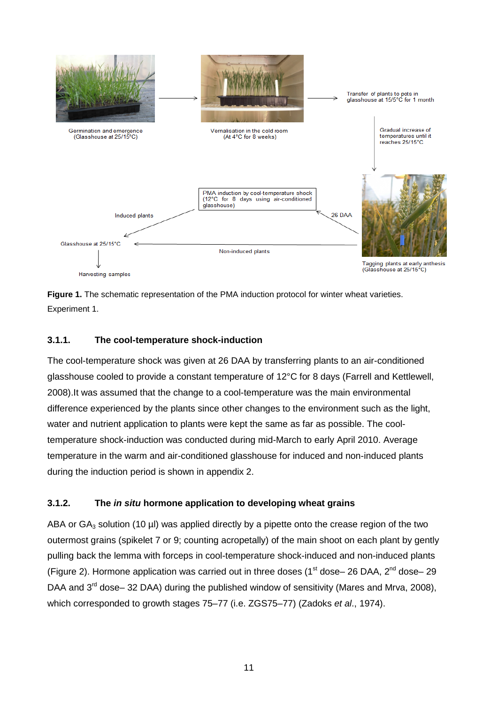

**Figure 1.** The schematic representation of the PMA induction protocol for winter wheat varieties. Experiment 1.

### **3.1.1. The cool-temperature shock-induction**

The cool-temperature shock was given at 26 DAA by transferring plants to an air-conditioned glasshouse cooled to provide a constant temperature of 12°C for 8 days (Farrell and Kettlewell, 2008).It was assumed that the change to a cool-temperature was the main environmental difference experienced by the plants since other changes to the environment such as the light, water and nutrient application to plants were kept the same as far as possible. The cooltemperature shock-induction was conducted during mid-March to early April 2010. Average temperature in the warm and air-conditioned glasshouse for induced and non-induced plants during the induction period is shown in appendix 2.

#### **3.1.2. The** *in situ* **hormone application to developing wheat grains**

ABA or  $GA_3$  solution (10 µl) was applied directly by a pipette onto the crease region of the two outermost grains (spikelet 7 or 9; counting acropetally) of the main shoot on each plant by gently pulling back the lemma with forceps in cool-temperature shock-induced and non-induced plants (Figure 2). Hormone application was carried out in three doses (1<sup>st</sup> dose– 26 DAA, 2<sup>nd</sup> dose– 29 DAA and  $3<sup>rd</sup>$  dose– 32 DAA) during the published window of sensitivity (Mares and Mrva, 2008), which corresponded to growth stages 75–77 (i.e. ZGS75–77) (Zadoks *et al*., 1974).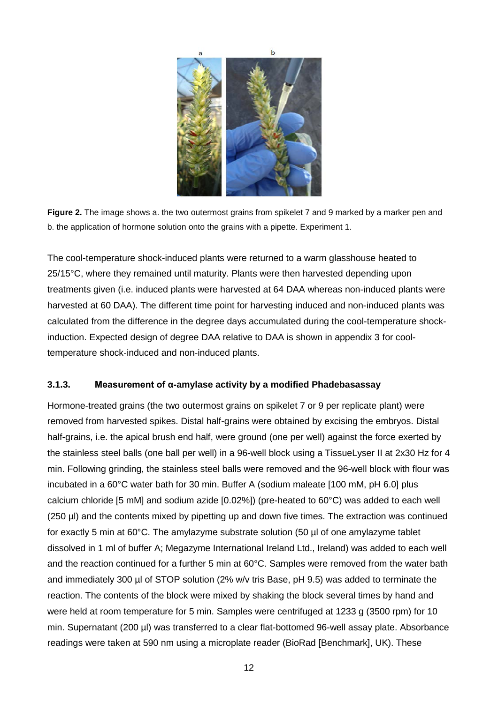

**Figure 2.** The image shows a. the two outermost grains from spikelet 7 and 9 marked by a marker pen and b. the application of hormone solution onto the grains with a pipette. Experiment 1.

The cool-temperature shock-induced plants were returned to a warm glasshouse heated to 25/15°C, where they remained until maturity. Plants were then harvested depending upon treatments given (i.e. induced plants were harvested at 64 DAA whereas non-induced plants were harvested at 60 DAA). The different time point for harvesting induced and non-induced plants was calculated from the difference in the degree days accumulated during the cool-temperature shockinduction. Expected design of degree DAA relative to DAA is shown in appendix 3 for cooltemperature shock-induced and non-induced plants.

#### **3.1.3. Measurement of α-amylase activity by a modified Phadebasassay**

Hormone-treated grains (the two outermost grains on spikelet 7 or 9 per replicate plant) were removed from harvested spikes. Distal half-grains were obtained by excising the embryos. Distal half-grains, i.e. the apical brush end half, were ground (one per well) against the force exerted by the stainless steel balls (one ball per well) in a 96-well block using a TissueLyser II at 2x30 Hz for 4 min. Following grinding, the stainless steel balls were removed and the 96-well block with flour was incubated in a 60°C water bath for 30 min. Buffer A (sodium maleate [100 mM, pH 6.0] plus calcium chloride [5 mM] and sodium azide [0.02%]) (pre-heated to 60°C) was added to each well (250 µl) and the contents mixed by pipetting up and down five times. The extraction was continued for exactly 5 min at 60°C. The amylazyme substrate solution (50 µl of one amylazyme tablet dissolved in 1 ml of buffer A; Megazyme International Ireland Ltd., Ireland) was added to each well and the reaction continued for a further 5 min at 60°C. Samples were removed from the water bath and immediately 300 µl of STOP solution (2% w/v tris Base, pH 9.5) was added to terminate the reaction. The contents of the block were mixed by shaking the block several times by hand and were held at room temperature for 5 min. Samples were centrifuged at 1233 g (3500 rpm) for 10 min. Supernatant (200 µl) was transferred to a clear flat-bottomed 96-well assay plate. Absorbance readings were taken at 590 nm using a microplate reader (BioRad [Benchmark], UK). These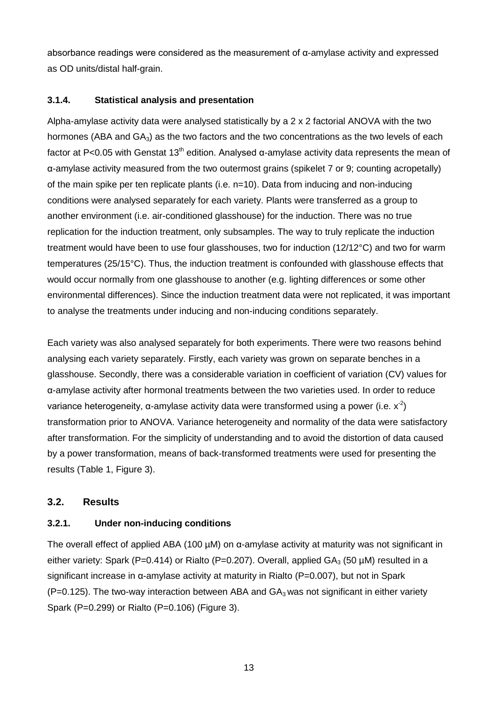absorbance readings were considered as the measurement of  $\alpha$ -amylase activity and expressed as OD units/distal half-grain.

#### **3.1.4. Statistical analysis and presentation**

Alpha-amylase activity data were analysed statistically by a 2 x 2 factorial ANOVA with the two hormones (ABA and  $GA_3$ ) as the two factors and the two concentrations as the two levels of each factor at P<0.05 with Genstat 13<sup>th</sup> edition. Analysed α-amylase activity data represents the mean of α-amylase activity measured from the two outermost grains (spikelet 7 or 9; counting acropetally) of the main spike per ten replicate plants (i.e. n=10). Data from inducing and non-inducing conditions were analysed separately for each variety. Plants were transferred as a group to another environment (i.e. air-conditioned glasshouse) for the induction. There was no true replication for the induction treatment, only subsamples. The way to truly replicate the induction treatment would have been to use four glasshouses, two for induction (12/12°C) and two for warm temperatures (25/15°C). Thus, the induction treatment is confounded with glasshouse effects that would occur normally from one glasshouse to another (e.g. lighting differences or some other environmental differences). Since the induction treatment data were not replicated, it was important to analyse the treatments under inducing and non-inducing conditions separately.

Each variety was also analysed separately for both experiments. There were two reasons behind analysing each variety separately. Firstly, each variety was grown on separate benches in a glasshouse. Secondly, there was a considerable variation in coefficient of variation (CV) values for α-amylase activity after hormonal treatments between the two varieties used. In order to reduce variance heterogeneity, α-amylase activity data were transformed using a power (i.e.  $x^2$ ) transformation prior to ANOVA. Variance heterogeneity and normality of the data were satisfactory after transformation. For the simplicity of understanding and to avoid the distortion of data caused by a power transformation, means of back-transformed treatments were used for presenting the results (Table 1, Figure 3).

#### **3.2. Results**

#### **3.2.1. Under non-inducing conditions**

The overall effect of applied ABA (100 µM) on α-amylase activity at maturity was not significant in either variety: Spark (P=0.414) or Rialto (P=0.207). Overall, applied  $GA_3$  (50 µM) resulted in a significant increase in α-amylase activity at maturity in Rialto (P=0.007), but not in Spark  $(P=0.125)$ . The two-way interaction between ABA and  $GA_3$  was not significant in either variety Spark (P=0.299) or Rialto (P=0.106) (Figure 3).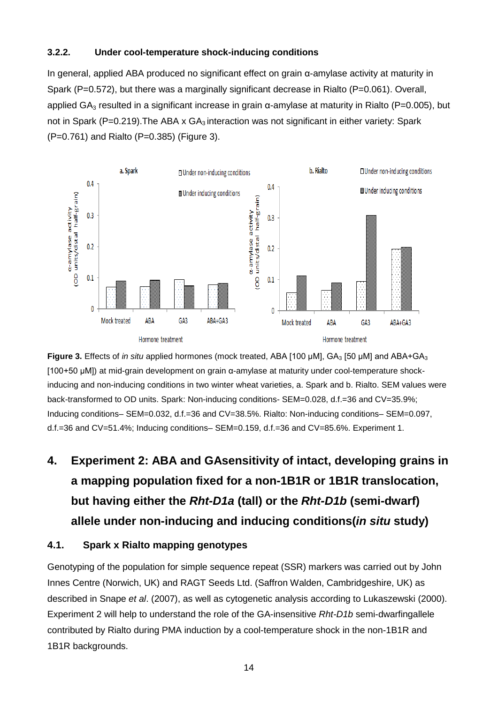#### **3.2.2. Under cool-temperature shock-inducing conditions**

In general, applied ABA produced no significant effect on grain α-amylase activity at maturity in Spark (P=0.572), but there was a marginally significant decrease in Rialto (P=0.061). Overall, applied GA<sub>3</sub> resulted in a significant increase in grain  $\alpha$ -amylase at maturity in Rialto (P=0.005), but not in Spark (P=0.219). The ABA x  $GA_3$  interaction was not significant in either variety: Spark (P=0.761) and Rialto (P=0.385) (Figure 3).



**Figure 3.** Effects of *in situ* applied hormones (mock treated, ABA [100 μM], GA<sub>3</sub> [50 μM] and ABA+GA<sub>3</sub> [100+50 μM]) at mid-grain development on grain α-amylase at maturity under cool-temperature shockinducing and non-inducing conditions in two winter wheat varieties, a. Spark and b. Rialto. SEM values were back-transformed to OD units. Spark: Non-inducing conditions- SEM=0.028, d.f.=36 and CV=35.9%; Inducing conditions– SEM=0.032, d.f.=36 and CV=38.5%. Rialto: Non-inducing conditions– SEM=0.097, d.f.=36 and CV=51.4%; Inducing conditions– SEM=0.159, d.f.=36 and CV=85.6%. Experiment 1.

# **4. Experiment 2: ABA and GAsensitivity of intact, developing grains in a mapping population fixed for a non-1B1R or 1B1R translocation, but having either the** *Rht-D1a* **(tall) or the** *Rht-D1b* **(semi-dwarf) allele under non-inducing and inducing conditions(***in situ* **study)**

### **4.1. Spark x Rialto mapping genotypes**

Genotyping of the population for simple sequence repeat (SSR) markers was carried out by John Innes Centre (Norwich, UK) and RAGT Seeds Ltd. (Saffron Walden, Cambridgeshire, UK) as described in Snape *et al*. (2007), as well as cytogenetic analysis according to Lukaszewski (2000). Experiment 2 will help to understand the role of the GA-insensitive *Rht-D1b* semi-dwarfingallele contributed by Rialto during PMA induction by a cool-temperature shock in the non-1B1R and 1B1R backgrounds.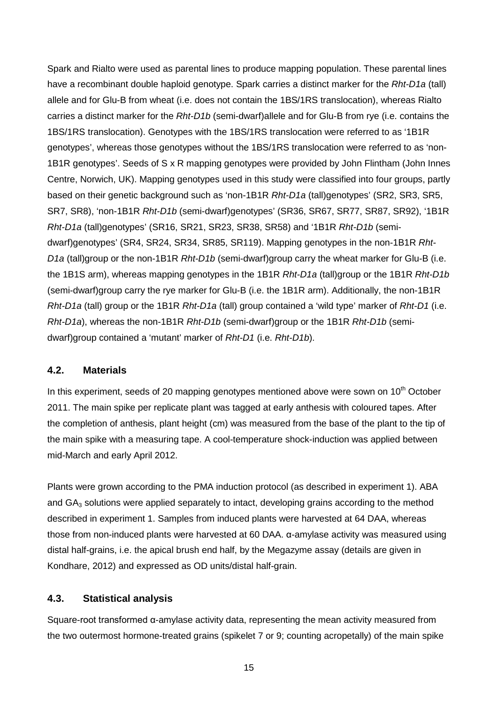Spark and Rialto were used as parental lines to produce mapping population. These parental lines have a recombinant double haploid genotype. Spark carries a distinct marker for the *Rht-D1a* (tall) allele and for Glu-B from wheat (i.e. does not contain the 1BS/1RS translocation), whereas Rialto carries a distinct marker for the *Rht-D1b* (semi-dwarf)allele and for Glu-B from rye (i.e. contains the 1BS/1RS translocation). Genotypes with the 1BS/1RS translocation were referred to as '1B1R genotypes', whereas those genotypes without the 1BS/1RS translocation were referred to as 'non-1B1R genotypes'. Seeds of S x R mapping genotypes were provided by John Flintham (John Innes Centre, Norwich, UK). Mapping genotypes used in this study were classified into four groups, partly based on their genetic background such as 'non-1B1R *Rht-D1a* (tall)genotypes' (SR2, SR3, SR5, SR7, SR8), 'non-1B1R *Rht-D1b* (semi-dwarf)genotypes' (SR36, SR67, SR77, SR87, SR92), '1B1R *Rht-D1a* (tall)genotypes' (SR16, SR21, SR23, SR38, SR58) and '1B1R *Rht-D1b* (semidwarf)genotypes' (SR4, SR24, SR34, SR85, SR119). Mapping genotypes in the non-1B1R *Rht-D1a* (tall)group or the non-1B1R *Rht-D1b* (semi-dwarf)group carry the wheat marker for Glu-B (i.e. the 1B1S arm), whereas mapping genotypes in the 1B1R *Rht-D1a* (tall)group or the 1B1R *Rht-D1b* (semi-dwarf)group carry the rye marker for Glu-B (i.e. the 1B1R arm). Additionally, the non-1B1R *Rht-D1a* (tall) group or the 1B1R *Rht-D1a* (tall) group contained a 'wild type' marker of *Rht-D1* (i.e. *Rht-D1a*), whereas the non-1B1R *Rht-D1b* (semi-dwarf)group or the 1B1R *Rht-D1b* (semidwarf)group contained a 'mutant' marker of *Rht-D1* (i.e. *Rht-D1b*).

#### **4.2. Materials**

In this experiment, seeds of 20 mapping genotypes mentioned above were sown on  $10<sup>th</sup>$  October 2011. The main spike per replicate plant was tagged at early anthesis with coloured tapes. After the completion of anthesis, plant height (cm) was measured from the base of the plant to the tip of the main spike with a measuring tape. A cool-temperature shock-induction was applied between mid-March and early April 2012.

Plants were grown according to the PMA induction protocol (as described in experiment 1). ABA and  $GA<sub>3</sub>$  solutions were applied separately to intact, developing grains according to the method described in experiment 1. Samples from induced plants were harvested at 64 DAA, whereas those from non-induced plants were harvested at 60 DAA. α-amylase activity was measured using distal half-grains, i.e. the apical brush end half, by the Megazyme assay (details are given in Kondhare, 2012) and expressed as OD units/distal half-grain.

#### **4.3. Statistical analysis**

Square-root transformed α-amylase activity data, representing the mean activity measured from the two outermost hormone-treated grains (spikelet 7 or 9; counting acropetally) of the main spike

15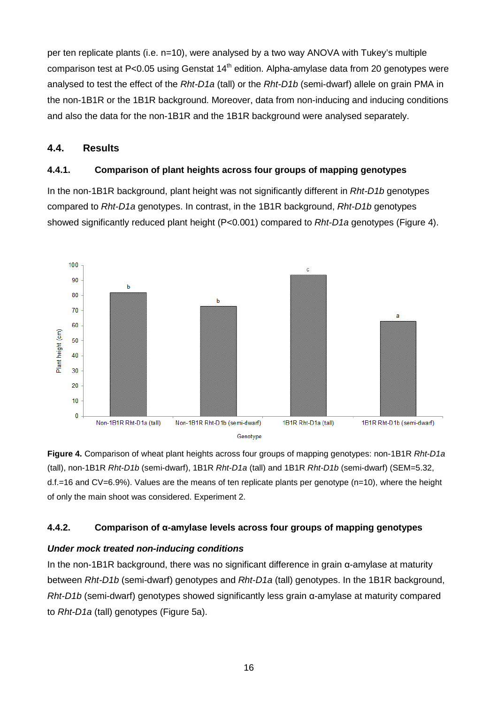per ten replicate plants (i.e. n=10), were analysed by a two way ANOVA with Tukey's multiple comparison test at P<0.05 using Genstat  $14<sup>th</sup>$  edition. Alpha-amylase data from 20 genotypes were analysed to test the effect of the *Rht-D1a* (tall) or the *Rht-D1b* (semi-dwarf) allele on grain PMA in the non-1B1R or the 1B1R background. Moreover, data from non-inducing and inducing conditions and also the data for the non-1B1R and the 1B1R background were analysed separately.

### **4.4. Results**

### **4.4.1. Comparison of plant heights across four groups of mapping genotypes**

In the non-1B1R background, plant height was not significantly different in *Rht-D1b* genotypes compared to *Rht-D1a* genotypes. In contrast, in the 1B1R background, *Rht-D1b* genotypes showed significantly reduced plant height (P<0.001) compared to *Rht-D1a* genotypes (Figure 4).



**Figure 4.** Comparison of wheat plant heights across four groups of mapping genotypes: non-1B1R *Rht-D1a* (tall), non-1B1R *Rht-D1b* (semi-dwarf), 1B1R *Rht-D1a* (tall) and 1B1R *Rht-D1b* (semi-dwarf) (SEM=5.32, d.f.=16 and CV=6.9%). Values are the means of ten replicate plants per genotype (n=10), where the height of only the main shoot was considered. Experiment 2.

## **4.4.2. Comparison of α-amylase levels across four groups of mapping genotypes**

## *Under mock treated non-inducing conditions*

In the non-1B1R background, there was no significant difference in grain α-amylase at maturity between *Rht-D1b* (semi-dwarf) genotypes and *Rht-D1a* (tall) genotypes. In the 1B1R background, *Rht-D1b* (semi-dwarf) genotypes showed significantly less grain α-amylase at maturity compared to *Rht-D1a* (tall) genotypes (Figure 5a).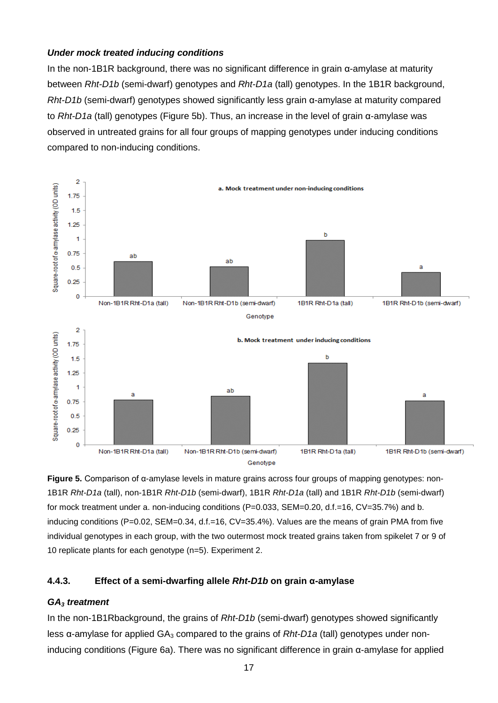#### *Under mock treated inducing conditions*

In the non-1B1R background, there was no significant difference in grain α-amylase at maturity between *Rht-D1b* (semi-dwarf) genotypes and *Rht-D1a* (tall) genotypes. In the 1B1R background, *Rht-D1b* (semi-dwarf) genotypes showed significantly less grain α-amylase at maturity compared to *Rht-D1a* (tall) genotypes (Figure 5b). Thus, an increase in the level of grain α-amylase was observed in untreated grains for all four groups of mapping genotypes under inducing conditions compared to non-inducing conditions.



**Figure 5.** Comparison of α-amylase levels in mature grains across four groups of mapping genotypes: non-1B1R *Rht-D1a* (tall), non-1B1R *Rht-D1b* (semi-dwarf), 1B1R *Rht-D1a* (tall) and 1B1R *Rht-D1b* (semi-dwarf) for mock treatment under a. non-inducing conditions (P=0.033, SEM=0.20, d.f.=16, CV=35.7%) and b. inducing conditions (P=0.02, SEM=0.34, d.f.=16, CV=35.4%). Values are the means of grain PMA from five individual genotypes in each group, with the two outermost mock treated grains taken from spikelet 7 or 9 of 10 replicate plants for each genotype (n=5). Experiment 2.

#### **4.4.3. Effect of a semi-dwarfing allele** *Rht-D1b* **on grain α-amylase**

#### *GA3 treatment*

In the non-1B1Rbackground, the grains of *Rht-D1b* (semi-dwarf) genotypes showed significantly less α-amylase for applied GA<sub>3</sub> compared to the grains of *Rht-D1a* (tall) genotypes under noninducing conditions (Figure 6a). There was no significant difference in grain α-amylase for applied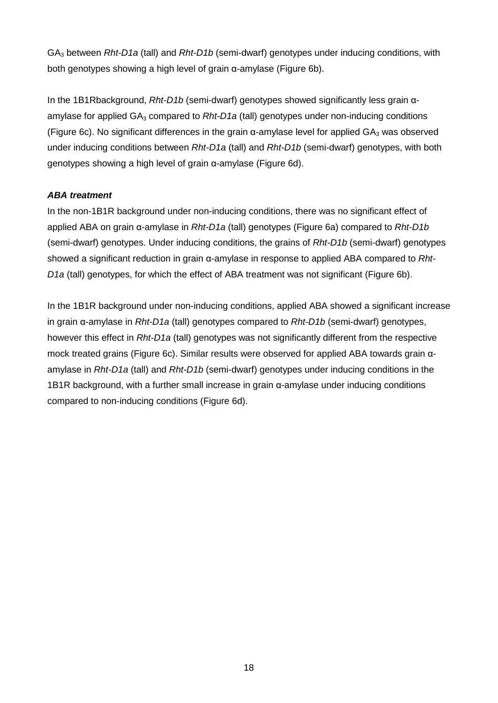GA3 between *Rht-D1a* (tall) and *Rht-D1b* (semi-dwarf) genotypes under inducing conditions, with both genotypes showing a high level of grain α-amylase (Figure 6b).

In the 1B1Rbackground, *Rht-D1b* (semi-dwarf) genotypes showed significantly less grain αamylase for applied GA<sub>3</sub> compared to *Rht-D1a* (tall) genotypes under non-inducing conditions (Figure 6c). No significant differences in the grain  $\alpha$ -amylase level for applied  $GA_3$  was observed under inducing conditions between *Rht-D1a* (tall) and *Rht-D1b* (semi-dwarf) genotypes, with both genotypes showing a high level of grain α-amylase (Figure 6d).

### *ABA treatment*

In the non-1B1R background under non-inducing conditions, there was no significant effect of applied ABA on grain α-amylase in *Rht-D1a* (tall) genotypes (Figure 6a) compared to *Rht-D1b* (semi-dwarf) genotypes. Under inducing conditions, the grains of *Rht-D1b* (semi-dwarf) genotypes showed a significant reduction in grain α-amylase in response to applied ABA compared to *Rht-D1a* (tall) genotypes, for which the effect of ABA treatment was not significant (Figure 6b).

In the 1B1R background under non-inducing conditions, applied ABA showed a significant increase in grain α-amylase in *Rht-D1a* (tall) genotypes compared to *Rht-D1b* (semi-dwarf) genotypes, however this effect in *Rht-D1a* (tall) genotypes was not significantly different from the respective mock treated grains (Figure 6c). Similar results were observed for applied ABA towards grain αamylase in *Rht-D1a* (tall) and *Rht-D1b* (semi-dwarf) genotypes under inducing conditions in the 1B1R background, with a further small increase in grain α-amylase under inducing conditions compared to non-inducing conditions (Figure 6d).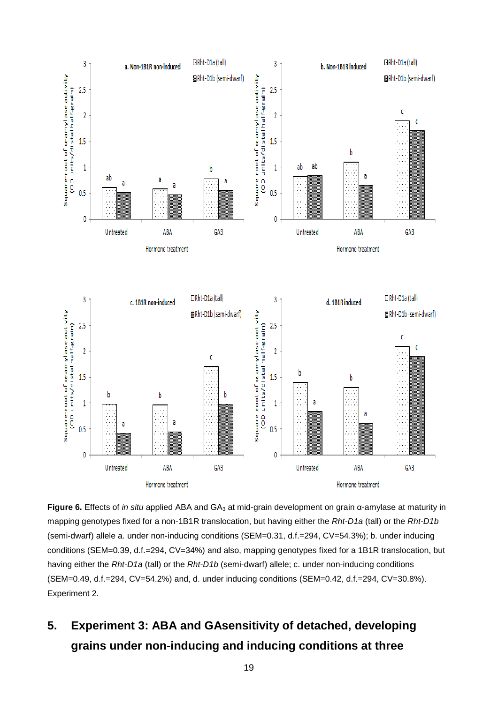

**Figure 6.** Effects of *in situ* applied ABA and GA<sub>3</sub> at mid-grain development on grain α-amylase at maturity in mapping genotypes fixed for a non-1B1R translocation, but having either the *Rht-D1a* (tall) or the *Rht-D1b* (semi-dwarf) allele a. under non-inducing conditions (SEM=0.31, d.f.=294, CV=54.3%); b. under inducing conditions (SEM=0.39, d.f.=294, CV=34%) and also, mapping genotypes fixed for a 1B1R translocation, but having either the *Rht-D1a* (tall) or the *Rht-D1b* (semi-dwarf) allele; c. under non-inducing conditions (SEM=0.49, d.f.=294, CV=54.2%) and, d. under inducing conditions (SEM=0.42, d.f.=294, CV=30.8%). Experiment 2.

# **5. Experiment 3: ABA and GAsensitivity of detached, developing grains under non-inducing and inducing conditions at three**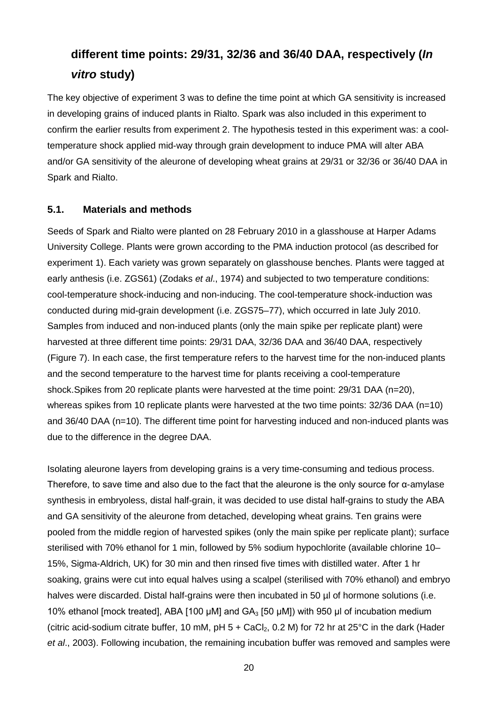## **different time points: 29/31, 32/36 and 36/40 DAA, respectively (***In vitro* **study)**

The key objective of experiment 3 was to define the time point at which GA sensitivity is increased in developing grains of induced plants in Rialto. Spark was also included in this experiment to confirm the earlier results from experiment 2. The hypothesis tested in this experiment was: a cooltemperature shock applied mid-way through grain development to induce PMA will alter ABA and/or GA sensitivity of the aleurone of developing wheat grains at 29/31 or 32/36 or 36/40 DAA in Spark and Rialto.

#### **5.1. Materials and methods**

Seeds of Spark and Rialto were planted on 28 February 2010 in a glasshouse at Harper Adams University College. Plants were grown according to the PMA induction protocol (as described for experiment 1). Each variety was grown separately on glasshouse benches. Plants were tagged at early anthesis (i.e. ZGS61) (Zodaks *et al*., 1974) and subjected to two temperature conditions: cool-temperature shock-inducing and non-inducing. The cool-temperature shock-induction was conducted during mid-grain development (i.e. ZGS75–77), which occurred in late July 2010. Samples from induced and non-induced plants (only the main spike per replicate plant) were harvested at three different time points: 29/31 DAA, 32/36 DAA and 36/40 DAA, respectively (Figure 7). In each case, the first temperature refers to the harvest time for the non-induced plants and the second temperature to the harvest time for plants receiving a cool-temperature shock.Spikes from 20 replicate plants were harvested at the time point: 29/31 DAA (n=20), whereas spikes from 10 replicate plants were harvested at the two time points: 32/36 DAA (n=10) and 36/40 DAA (n=10). The different time point for harvesting induced and non-induced plants was due to the difference in the degree DAA.

Isolating aleurone layers from developing grains is a very time-consuming and tedious process. Therefore, to save time and also due to the fact that the aleurone is the only source for α-amylase synthesis in embryoless, distal half-grain, it was decided to use distal half-grains to study the ABA and GA sensitivity of the aleurone from detached, developing wheat grains. Ten grains were pooled from the middle region of harvested spikes (only the main spike per replicate plant); surface sterilised with 70% ethanol for 1 min, followed by 5% sodium hypochlorite (available chlorine 10– 15%, Sigma-Aldrich, UK) for 30 min and then rinsed five times with distilled water. After 1 hr soaking, grains were cut into equal halves using a scalpel (sterilised with 70% ethanol) and embryo halves were discarded. Distal half-grains were then incubated in 50 µl of hormone solutions (i.e. 10% ethanol [mock treated], ABA [100 μM] and  $GA_3$  [50 μM]) with 950 μl of incubation medium (citric acid-sodium citrate buffer, 10 mM, pH  $5 +$  CaCl<sub>2</sub>, 0.2 M) for 72 hr at 25°C in the dark (Hader *et al*., 2003). Following incubation, the remaining incubation buffer was removed and samples were

20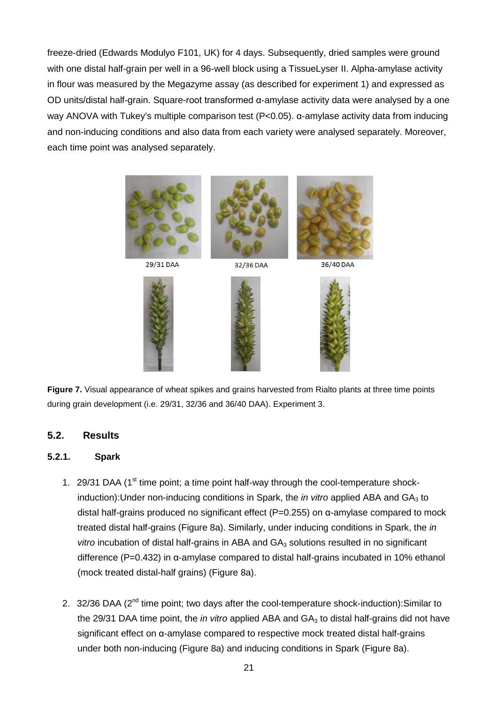freeze-dried (Edwards Modulyo F101, UK) for 4 days. Subsequently, dried samples were ground with one distal half-grain per well in a 96-well block using a TissueLyser II. Alpha-amylase activity in flour was measured by the Megazyme assay (as described for experiment 1) and expressed as OD units/distal half-grain. Square-root transformed α-amylase activity data were analysed by a one way ANOVA with Tukey's multiple comparison test (P<0.05). α-amylase activity data from inducing and non-inducing conditions and also data from each variety were analysed separately. Moreover, each time point was analysed separately.



29/31 DAA





32/36 DAA





36/40 DAA



**Figure 7.** Visual appearance of wheat spikes and grains harvested from Rialto plants at three time points during grain development (i.e. 29/31, 32/36 and 36/40 DAA). Experiment 3.

#### **5.2. Results**

#### **5.2.1. Spark**

- 1. 29/31 DAA (1<sup>st</sup> time point; a time point half-way through the cool-temperature shockinduction): Under non-inducing conditions in Spark, the *in vitro* applied ABA and GA<sub>3</sub> to distal half-grains produced no significant effect (P=0.255) on α-amylase compared to mock treated distal half-grains (Figure 8a). Similarly, under inducing conditions in Spark, the *in*  vitro incubation of distal half-grains in ABA and GA<sub>3</sub> solutions resulted in no significant difference (P=0.432) in α-amylase compared to distal half-grains incubated in 10% ethanol (mock treated distal-half grains) (Figure 8a).
- 2. 32/36 DAA (2<sup>nd</sup> time point; two days after the cool-temperature shock-induction): Similar to the 29/31 DAA time point, the *in vitro* applied ABA and GA<sub>3</sub> to distal half-grains did not have significant effect on α-amylase compared to respective mock treated distal half-grains under both non-inducing (Figure 8a) and inducing conditions in Spark (Figure 8a).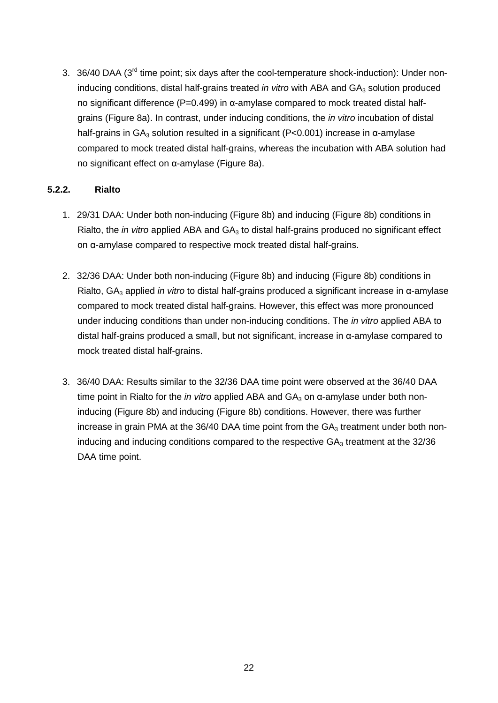3. 36/40 DAA (3<sup>rd</sup> time point; six days after the cool-temperature shock-induction): Under noninducing conditions, distal half-grains treated *in vitro* with ABA and GA<sub>3</sub> solution produced no significant difference ( $P=0.499$ ) in α-amylase compared to mock treated distal halfgrains (Figure 8a). In contrast, under inducing conditions, the *in vitro* incubation of distal half-grains in  $GA_3$  solution resulted in a significant (P<0.001) increase in α-amylase compared to mock treated distal half-grains, whereas the incubation with ABA solution had no significant effect on α-amylase (Figure 8a).

#### **5.2.2. Rialto**

- 1. 29/31 DAA: Under both non-inducing (Figure 8b) and inducing (Figure 8b) conditions in Rialto, the *in vitro* applied ABA and GA<sub>3</sub> to distal half-grains produced no significant effect on α-amylase compared to respective mock treated distal half-grains.
- 2. 32/36 DAA: Under both non-inducing (Figure 8b) and inducing (Figure 8b) conditions in Rialto, GA<sub>3</sub> applied *in vitro* to distal half-grains produced a significant increase in α-amylase compared to mock treated distal half-grains. However, this effect was more pronounced under inducing conditions than under non-inducing conditions. The *in vitro* applied ABA to distal half-grains produced a small, but not significant, increase in α-amylase compared to mock treated distal half-grains.
- 3. 36/40 DAA: Results similar to the 32/36 DAA time point were observed at the 36/40 DAA time point in Rialto for the *in vitro* applied ABA and GA<sub>3</sub> on α-amylase under both noninducing (Figure 8b) and inducing (Figure 8b) conditions. However, there was further increase in grain PMA at the 36/40 DAA time point from the  $GA<sub>3</sub>$  treatment under both noninducing and inducing conditions compared to the respective  $GA<sub>3</sub>$  treatment at the 32/36 DAA time point.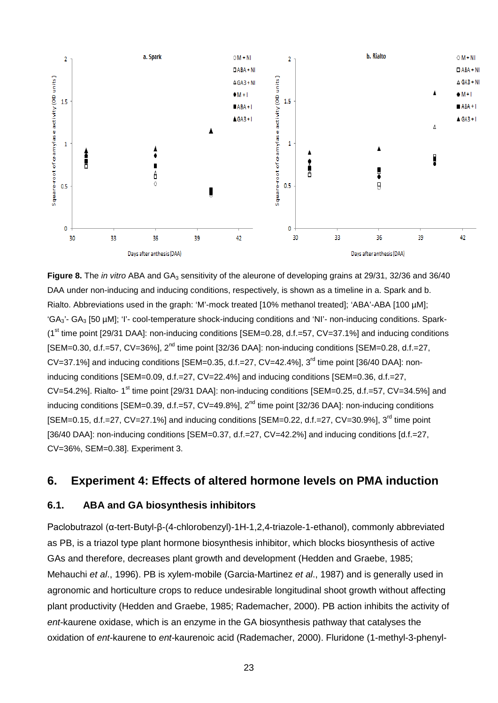

**Figure 8.** The *in vitro* ABA and GA<sub>3</sub> sensitivity of the aleurone of developing grains at 29/31, 32/36 and 36/40 DAA under non-inducing and inducing conditions, respectively, is shown as a timeline in a. Spark and b. Rialto. Abbreviations used in the graph: 'M'-mock treated [10% methanol treated]; 'ABA'-ABA [100 µM];  $G_{\text{A}_3}$ '- GA<sub>3</sub> [50 µM]; 'I'- cool-temperature shock-inducing conditions and 'NI'- non-inducing conditions. Spark- $(1<sup>st</sup>$  time point [29/31 DAA]: non-inducing conditions [SEM=0.28, d.f.=57, CV=37.1%] and inducing conditions [SEM=0.30, d.f.=57, CV=36%], 2nd time point [32/36 DAA]: non-inducing conditions [SEM=0.28, d.f.=27,  $CV=37.1\%$ ] and inducing conditions  $ISEM=0.35$ , d.f.=27,  $CV=42.4\%$ ],  $3<sup>rd</sup>$  time point  $[36/40$  DAA]: noninducing conditions [SEM=0.09, d.f.=27, CV=22.4%] and inducing conditions [SEM=0.36, d.f.=27, CV=54.2%]. Rialto- 1<sup>st</sup> time point [29/31 DAA]: non-inducing conditions [SEM=0.25, d.f.=57, CV=34.5%] and inducing conditions [SEM=0.39, d.f.=57, CV=49.8%], 2<sup>nd</sup> time point [32/36 DAA]: non-inducing conditions [SEM=0.15, d.f.=27, CV=27.1%] and inducing conditions [SEM=0.22, d.f.=27, CV=30.9%]. 3<sup>rd</sup> time point [36/40 DAA]: non-inducing conditions [SEM=0.37, d.f.=27, CV=42.2%] and inducing conditions [d.f.=27, CV=36%, SEM=0.38]. Experiment 3.

## **6. Experiment 4: Effects of altered hormone levels on PMA induction**

#### **6.1. ABA and GA biosynthesis inhibitors**

Paclobutrazol (α-tert-Butyl-β-(4-chlorobenzyl)-1H-1,2,4-triazole-1-ethanol), commonly abbreviated as PB, is a triazol type plant hormone biosynthesis inhibitor, which blocks biosynthesis of active GAs and therefore, decreases plant growth and development (Hedden and Graebe, 1985; Mehauchi *et al*., 1996). PB is xylem-mobile (Garcia-Martinez *et al*., 1987) and is generally used in agronomic and horticulture crops to reduce undesirable longitudinal shoot growth without affecting plant productivity (Hedden and Graebe, 1985; Rademacher, 2000). PB action inhibits the activity of *ent*-kaurene oxidase, which is an enzyme in the GA biosynthesis pathway that catalyses the oxidation of *ent*-kaurene to *ent*-kaurenoic acid (Rademacher, 2000). Fluridone (1-methyl-3-phenyl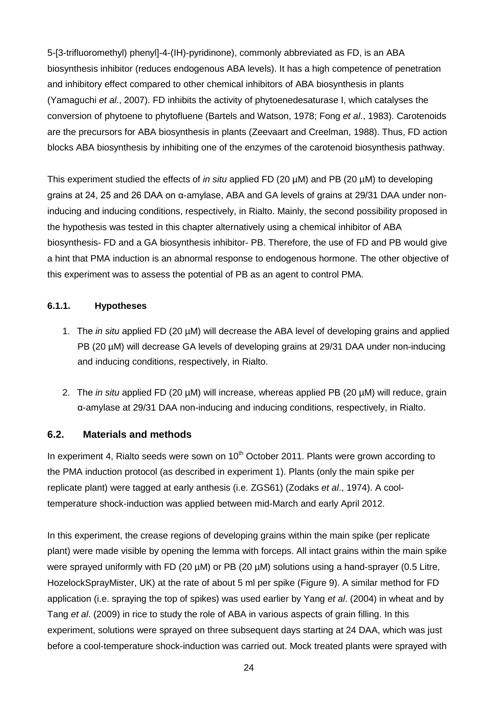5-[3-trifluoromethyl) phenyl]-4-(IH)-pyridinone), commonly abbreviated as FD, is an ABA biosynthesis inhibitor (reduces endogenous ABA levels). It has a high competence of penetration and inhibitory effect compared to other chemical inhibitors of ABA biosynthesis in plants (Yamaguchi *et al*., 2007). FD inhibits the activity of phytoenedesaturase I, which catalyses the conversion of phytoene to phytofluene (Bartels and Watson, 1978; Fong *et al*., 1983). Carotenoids are the precursors for ABA biosynthesis in plants (Zeevaart and Creelman, 1988). Thus, FD action blocks ABA biosynthesis by inhibiting one of the enzymes of the carotenoid biosynthesis pathway.

This experiment studied the effects of *in situ* applied FD (20 µM) and PB (20 µM) to developing grains at 24, 25 and 26 DAA on α-amylase, ABA and GA levels of grains at 29/31 DAA under noninducing and inducing conditions, respectively, in Rialto. Mainly, the second possibility proposed in the hypothesis was tested in this chapter alternatively using a chemical inhibitor of ABA biosynthesis- FD and a GA biosynthesis inhibitor- PB. Therefore, the use of FD and PB would give a hint that PMA induction is an abnormal response to endogenous hormone. The other objective of this experiment was to assess the potential of PB as an agent to control PMA.

#### **6.1.1. Hypotheses**

- 1. The *in situ* applied FD (20 µM) will decrease the ABA level of developing grains and applied PB (20 µM) will decrease GA levels of developing grains at 29/31 DAA under non-inducing and inducing conditions, respectively, in Rialto.
- 2. The *in situ* applied FD (20 µM) will increase, whereas applied PB (20 µM) will reduce, grain α-amylase at 29/31 DAA non-inducing and inducing conditions, respectively, in Rialto.

#### **6.2. Materials and methods**

In experiment 4, Rialto seeds were sown on  $10<sup>th</sup>$  October 2011. Plants were grown according to the PMA induction protocol (as described in experiment 1). Plants (only the main spike per replicate plant) were tagged at early anthesis (i.e. ZGS61) (Zodaks *et al*., 1974). A cooltemperature shock-induction was applied between mid-March and early April 2012.

In this experiment, the crease regions of developing grains within the main spike (per replicate plant) were made visible by opening the lemma with forceps. All intact grains within the main spike were sprayed uniformly with FD (20 µM) or PB (20 µM) solutions using a hand-sprayer (0.5 Litre, HozelockSprayMister, UK) at the rate of about 5 ml per spike (Figure 9). A similar method for FD application (i.e. spraying the top of spikes) was used earlier by Yang *et al*. (2004) in wheat and by Tang *et al*. (2009) in rice to study the role of ABA in various aspects of grain filling. In this experiment, solutions were sprayed on three subsequent days starting at 24 DAA, which was just before a cool-temperature shock-induction was carried out. Mock treated plants were sprayed with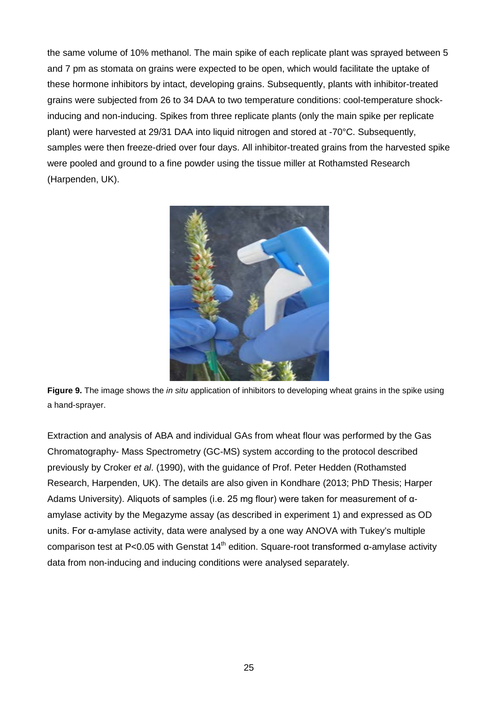the same volume of 10% methanol. The main spike of each replicate plant was sprayed between 5 and 7 pm as stomata on grains were expected to be open, which would facilitate the uptake of these hormone inhibitors by intact, developing grains. Subsequently, plants with inhibitor-treated grains were subjected from 26 to 34 DAA to two temperature conditions: cool-temperature shockinducing and non-inducing. Spikes from three replicate plants (only the main spike per replicate plant) were harvested at 29/31 DAA into liquid nitrogen and stored at -70°C. Subsequently, samples were then freeze-dried over four days. All inhibitor-treated grains from the harvested spike were pooled and ground to a fine powder using the tissue miller at Rothamsted Research (Harpenden, UK).



**Figure 9.** The image shows the *in situ* application of inhibitors to developing wheat grains in the spike using a hand-sprayer.

Extraction and analysis of ABA and individual GAs from wheat flour was performed by the Gas Chromatography- Mass Spectrometry (GC-MS) system according to the protocol described previously by Croker *et al*. (1990), with the guidance of Prof. Peter Hedden (Rothamsted Research, Harpenden, UK). The details are also given in Kondhare (2013; PhD Thesis; Harper Adams University). Aliquots of samples (i.e. 25 mg flour) were taken for measurement of αamylase activity by the Megazyme assay (as described in experiment 1) and expressed as OD units. For α-amylase activity, data were analysed by a one way ANOVA with Tukey's multiple comparison test at P<0.05 with Genstat  $14<sup>th</sup>$  edition. Square-root transformed α-amylase activity data from non-inducing and inducing conditions were analysed separately.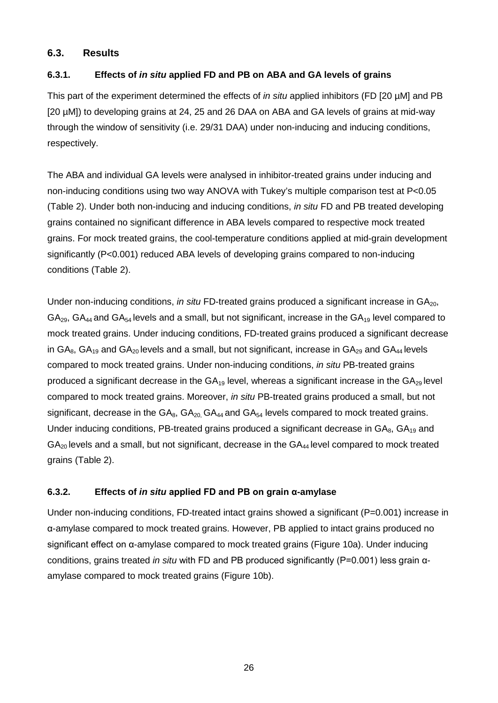#### **6.3. Results**

#### **6.3.1. Effects of** *in situ* **applied FD and PB on ABA and GA levels of grains**

This part of the experiment determined the effects of *in situ* applied inhibitors (FD [20 µM] and PB [20 µM]) to developing grains at 24, 25 and 26 DAA on ABA and GA levels of grains at mid-way through the window of sensitivity (i.e. 29/31 DAA) under non-inducing and inducing conditions, respectively.

The ABA and individual GA levels were analysed in inhibitor-treated grains under inducing and non-inducing conditions using two way ANOVA with Tukey's multiple comparison test at P<0.05 (Table 2). Under both non-inducing and inducing conditions, *in situ* FD and PB treated developing grains contained no significant difference in ABA levels compared to respective mock treated grains. For mock treated grains, the cool-temperature conditions applied at mid-grain development significantly (P<0.001) reduced ABA levels of developing grains compared to non-inducing conditions (Table 2).

Under non-inducing conditions, *in situ* FD-treated grains produced a significant increase in GA<sub>20</sub>,  $GA_{29}$ ,  $GA_{44}$  and  $GA_{54}$  levels and a small, but not significant, increase in the  $GA_{19}$  level compared to mock treated grains. Under inducing conditions, FD-treated grains produced a significant decrease in  $GA_{8}$ ,  $GA_{19}$  and  $GA_{20}$  levels and a small, but not significant, increase in  $GA_{29}$  and  $GA_{44}$  levels compared to mock treated grains. Under non-inducing conditions, *in situ* PB-treated grains produced a significant decrease in the  $GA_{19}$  level, whereas a significant increase in the  $GA_{29}$  level compared to mock treated grains. Moreover, *in situ* PB-treated grains produced a small, but not significant, decrease in the  $GA_{8}$ ,  $GA_{20}$ ,  $GA_{44}$  and  $GA_{54}$  levels compared to mock treated grains. Under inducing conditions, PB-treated grains produced a significant decrease in GA<sub>8</sub>, GA<sub>19</sub> and  $GA_{20}$  levels and a small, but not significant, decrease in the  $GA_{44}$  level compared to mock treated grains (Table 2).

#### **6.3.2. Effects of** *in situ* **applied FD and PB on grain α-amylase**

Under non-inducing conditions, FD-treated intact grains showed a significant (P=0.001) increase in α-amylase compared to mock treated grains. However, PB applied to intact grains produced no significant effect on α-amylase compared to mock treated grains (Figure 10a). Under inducing conditions, grains treated *in situ* with FD and PB produced significantly (P=0.001) less grain αamylase compared to mock treated grains (Figure 10b).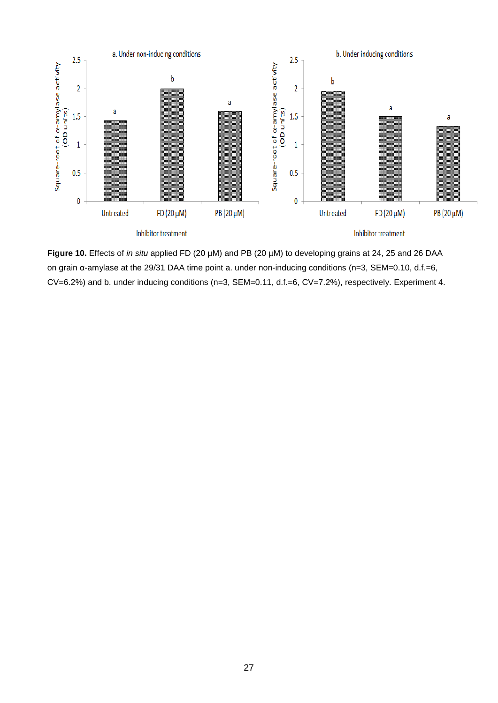

**Figure 10.** Effects of *in situ* applied FD (20 µM) and PB (20 µM) to developing grains at 24, 25 and 26 DAA on grain α-amylase at the 29/31 DAA time point a. under non-inducing conditions (n=3, SEM=0.10, d.f.=6, CV=6.2%) and b. under inducing conditions (n=3, SEM=0.11, d.f.=6, CV=7.2%), respectively. Experiment 4.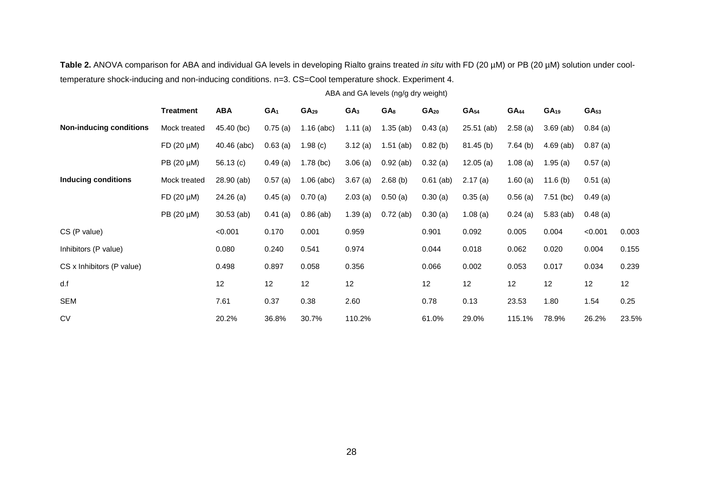Table 2. ANOVA comparison for ABA and individual GA levels in developing Rialto grains treated *in situ* with FD (20 µM) or PB (20 µM) solution under cooltemperature shock-inducing and non-inducing conditions. n=3. CS=Cool temperature shock. Experiment 4.

ABA and GA levels (ng/g dry weight)

|                                | <b>Treatment</b>  | <b>ABA</b>   | GA <sub>1</sub> | GA <sub>29</sub> | GA <sub>3</sub> | GA <sub>8</sub> | GA <sub>20</sub> | GA <sub>54</sub> | $GA_{44}$  | GA <sub>19</sub> | GA <sub>53</sub> |       |
|--------------------------------|-------------------|--------------|-----------------|------------------|-----------------|-----------------|------------------|------------------|------------|------------------|------------------|-------|
| <b>Non-inducing conditions</b> | Mock treated      | 45.40 (bc)   | 0.75(a)         | $1.16$ (abc)     | 1.11(a)         | $1.35$ (ab)     | $0.43$ (a)       | $25.51$ (ab)     | 2.58(a)    | $3.69$ (ab)      | $0.84$ (a)       |       |
|                                | $FD(20 \mu M)$    | 40.46 (abc)  | 0.63(a)         | 1.98(c)          | 3.12(a)         | $1.51$ (ab)     | $0.82$ (b)       | $81.45$ (b)      | 7.64(b)    | $4.69$ (ab)      | $0.87$ (a)       |       |
|                                | $PB$ (20 $\mu$ M) | 56.13 $(c)$  | 0.49(a)         | $1.78$ (bc)      | 3.06(a)         | $0.92$ (ab)     | $0.32$ (a)       | 12.05(a)         | 1.08(a)    | 1.95(a)          | $0.57$ (a)       |       |
| <b>Inducing conditions</b>     | Mock treated      | 28.90 (ab)   | 0.57(a)         | $1.06$ (abc)     | 3.67(a)         | 2.68(b)         | $0.61$ (ab)      | 2.17(a)          | 1.60(a)    | 11.6 $(b)$       | $0.51$ (a)       |       |
|                                | $FD(20 \mu M)$    | $24.26$ (a)  | 0.45(a)         | 0.70(a)          | 2.03(a)         | 0.50(a)         | $0.30$ (a)       | 0.35(a)          | 0.56(a)    | $7.51$ (bc)      | 0.49(a)          |       |
|                                | PB (20 µM)        | $30.53$ (ab) | $0.41$ (a)      | $0.86$ (ab)      | 1.39(a)         | $0.72$ (ab)     | $0.30$ (a)       | 1.08(a)          | $0.24$ (a) | $5.83$ (ab)      | $0.48$ (a)       |       |
| CS (P value)                   |                   | < 0.001      | 0.170           | 0.001            | 0.959           |                 | 0.901            | 0.092            | 0.005      | 0.004            | < 0.001          | 0.003 |
| Inhibitors (P value)           |                   | 0.080        | 0.240           | 0.541            | 0.974           |                 | 0.044            | 0.018            | 0.062      | 0.020            | 0.004            | 0.155 |
| CS x Inhibitors (P value)      |                   | 0.498        | 0.897           | 0.058            | 0.356           |                 | 0.066            | 0.002            | 0.053      | 0.017            | 0.034            | 0.239 |
| d.f                            |                   | 12           | 12              | 12               | 12              |                 | 12               | 12               | 12         | 12               | 12               | 12    |
| <b>SEM</b>                     |                   | 7.61         | 0.37            | 0.38             | 2.60            |                 | 0.78             | 0.13             | 23.53      | 1.80             | 1.54             | 0.25  |
| <b>CV</b>                      |                   | 20.2%        | 36.8%           | 30.7%            | 110.2%          |                 | 61.0%            | 29.0%            | 115.1%     | 78.9%            | 26.2%            | 23.5% |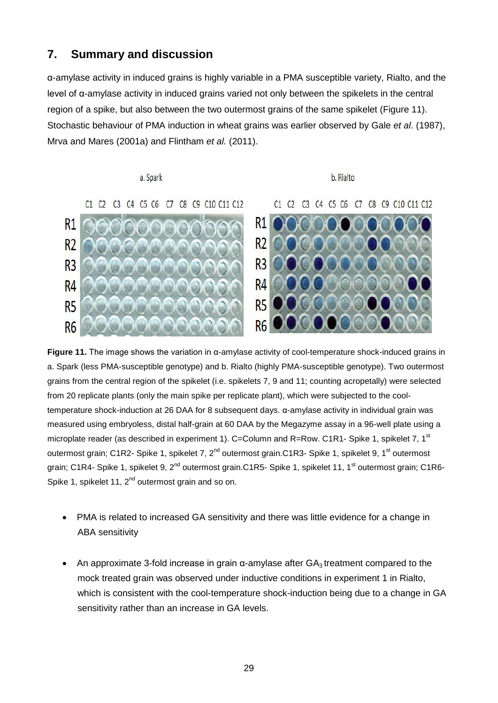## **7. Summary and discussion**

α-amylase activity in induced grains is highly variable in a PMA susceptible variety, Rialto, and the level of α-amylase activity in induced grains varied not only between the spikelets in the central region of a spike, but also between the two outermost grains of the same spikelet (Figure 11). Stochastic behaviour of PMA induction in wheat grains was earlier observed by Gale *et al*. (1987), Mrva and Mares (2001a) and Flintham *et al.* (2011).

#### a. Spark

b. Rialto

C1 C2 C3 C4 C5 C6 C7 C8 C9 C10 C11 C12





**Figure 11.** The image shows the variation in α-amylase activity of cool-temperature shock-induced grains in a. Spark (less PMA-susceptible genotype) and b. Rialto (highly PMA-susceptible genotype). Two outermost grains from the central region of the spikelet (i.e. spikelets 7, 9 and 11; counting acropetally) were selected from 20 replicate plants (only the main spike per replicate plant), which were subjected to the cooltemperature shock-induction at 26 DAA for 8 subsequent days. α-amylase activity in individual grain was measured using embryoless, distal half-grain at 60 DAA by the Megazyme assay in a 96-well plate using a microplate reader (as described in experiment 1). C=Column and R=Row. C1R1- Spike 1, spikelet 7, 1<sup>st</sup> outermost grain; C1R2- Spike 1, spikelet 7, 2<sup>nd</sup> outermost grain.C1R3- Spike 1, spikelet 9, 1<sup>st</sup> outermost grain; C1R4- Spike 1, spikelet 9, 2<sup>nd</sup> outermost grain.C1R5- Spike 1, spikelet 11, 1<sup>st</sup> outermost grain; C1R6-Spike 1, spikelet 11,  $2^{nd}$  outermost grain and so on.

- PMA is related to increased GA sensitivity and there was little evidence for a change in ABA sensitivity
- An approximate 3-fold increase in grain  $\alpha$ -amylase after  $GA_3$  treatment compared to the mock treated grain was observed under inductive conditions in experiment 1 in Rialto, which is consistent with the cool-temperature shock-induction being due to a change in GA sensitivity rather than an increase in GA levels.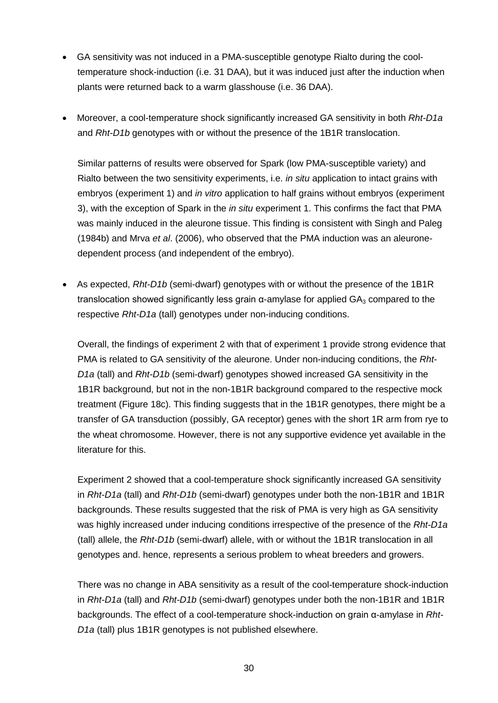- GA sensitivity was not induced in a PMA-susceptible genotype Rialto during the cooltemperature shock-induction (i.e. 31 DAA), but it was induced just after the induction when plants were returned back to a warm glasshouse (i.e. 36 DAA).
- Moreover, a cool-temperature shock significantly increased GA sensitivity in both *Rht-D1a* and *Rht-D1b* genotypes with or without the presence of the 1B1R translocation.

Similar patterns of results were observed for Spark (low PMA-susceptible variety) and Rialto between the two sensitivity experiments, i.e. *in situ* application to intact grains with embryos (experiment 1) and *in vitro* application to half grains without embryos (experiment 3), with the exception of Spark in the *in situ* experiment 1. This confirms the fact that PMA was mainly induced in the aleurone tissue. This finding is consistent with Singh and Paleg (1984b) and Mrva *et al*. (2006), who observed that the PMA induction was an aleuronedependent process (and independent of the embryo).

• As expected, *Rht-D1b* (semi-dwarf) genotypes with or without the presence of the 1B1R translocation showed significantly less grain  $α$ -amylase for applied  $GA_3$  compared to the respective *Rht-D1a* (tall) genotypes under non-inducing conditions.

Overall, the findings of experiment 2 with that of experiment 1 provide strong evidence that PMA is related to GA sensitivity of the aleurone. Under non-inducing conditions, the *Rht-D1a* (tall) and *Rht-D1b* (semi-dwarf) genotypes showed increased GA sensitivity in the 1B1R background, but not in the non-1B1R background compared to the respective mock treatment (Figure 18c). This finding suggests that in the 1B1R genotypes, there might be a transfer of GA transduction (possibly, GA receptor) genes with the short 1R arm from rye to the wheat chromosome. However, there is not any supportive evidence yet available in the literature for this.

Experiment 2 showed that a cool-temperature shock significantly increased GA sensitivity in *Rht-D1a* (tall) and *Rht-D1b* (semi-dwarf) genotypes under both the non-1B1R and 1B1R backgrounds. These results suggested that the risk of PMA is very high as GA sensitivity was highly increased under inducing conditions irrespective of the presence of the *Rht-D1a* (tall) allele, the *Rht-D1b* (semi-dwarf) allele, with or without the 1B1R translocation in all genotypes and. hence, represents a serious problem to wheat breeders and growers.

There was no change in ABA sensitivity as a result of the cool-temperature shock-induction in *Rht-D1a* (tall) and *Rht-D1b* (semi-dwarf) genotypes under both the non-1B1R and 1B1R backgrounds. The effect of a cool-temperature shock-induction on grain α-amylase in *Rht-D1a* (tall) plus 1B1R genotypes is not published elsewhere.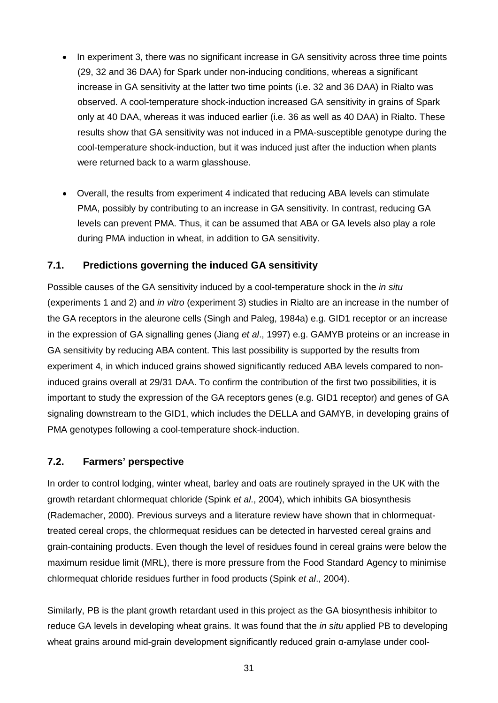- In experiment 3, there was no significant increase in GA sensitivity across three time points (29, 32 and 36 DAA) for Spark under non-inducing conditions, whereas a significant increase in GA sensitivity at the latter two time points (i.e. 32 and 36 DAA) in Rialto was observed. A cool-temperature shock-induction increased GA sensitivity in grains of Spark only at 40 DAA, whereas it was induced earlier (i.e. 36 as well as 40 DAA) in Rialto. These results show that GA sensitivity was not induced in a PMA-susceptible genotype during the cool-temperature shock-induction, but it was induced just after the induction when plants were returned back to a warm glasshouse.
- Overall, the results from experiment 4 indicated that reducing ABA levels can stimulate PMA, possibly by contributing to an increase in GA sensitivity. In contrast, reducing GA levels can prevent PMA. Thus, it can be assumed that ABA or GA levels also play a role during PMA induction in wheat, in addition to GA sensitivity.

#### **7.1. Predictions governing the induced GA sensitivity**

Possible causes of the GA sensitivity induced by a cool-temperature shock in the *in situ* (experiments 1 and 2) and *in vitro* (experiment 3) studies in Rialto are an increase in the number of the GA receptors in the aleurone cells (Singh and Paleg, 1984a) e.g. GID1 receptor or an increase in the expression of GA signalling genes (Jiang *et al*., 1997) e.g. GAMYB proteins or an increase in GA sensitivity by reducing ABA content. This last possibility is supported by the results from experiment 4, in which induced grains showed significantly reduced ABA levels compared to noninduced grains overall at 29/31 DAA. To confirm the contribution of the first two possibilities, it is important to study the expression of the GA receptors genes (e.g. GID1 receptor) and genes of GA signaling downstream to the GID1, which includes the DELLA and GAMYB, in developing grains of PMA genotypes following a cool-temperature shock-induction.

#### **7.2. Farmers' perspective**

In order to control lodging, winter wheat, barley and oats are routinely sprayed in the UK with the growth retardant chlormequat chloride (Spink *et al*., 2004), which inhibits GA biosynthesis (Rademacher, 2000). Previous surveys and a literature review have shown that in chlormequattreated cereal crops, the chlormequat residues can be detected in harvested cereal grains and grain-containing products. Even though the level of residues found in cereal grains were below the maximum residue limit (MRL), there is more pressure from the Food Standard Agency to minimise chlormequat chloride residues further in food products (Spink *et al*., 2004).

Similarly, PB is the plant growth retardant used in this project as the GA biosynthesis inhibitor to reduce GA levels in developing wheat grains. It was found that the *in situ* applied PB to developing wheat grains around mid-grain development significantly reduced grain α-amylase under cool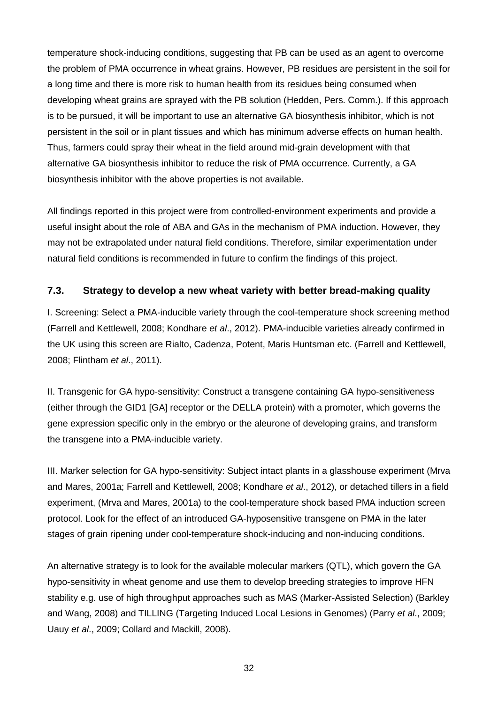temperature shock-inducing conditions, suggesting that PB can be used as an agent to overcome the problem of PMA occurrence in wheat grains. However, PB residues are persistent in the soil for a long time and there is more risk to human health from its residues being consumed when developing wheat grains are sprayed with the PB solution (Hedden, Pers. Comm.). If this approach is to be pursued, it will be important to use an alternative GA biosynthesis inhibitor, which is not persistent in the soil or in plant tissues and which has minimum adverse effects on human health. Thus, farmers could spray their wheat in the field around mid-grain development with that alternative GA biosynthesis inhibitor to reduce the risk of PMA occurrence. Currently, a GA biosynthesis inhibitor with the above properties is not available.

All findings reported in this project were from controlled-environment experiments and provide a useful insight about the role of ABA and GAs in the mechanism of PMA induction. However, they may not be extrapolated under natural field conditions. Therefore, similar experimentation under natural field conditions is recommended in future to confirm the findings of this project.

### **7.3. Strategy to develop a new wheat variety with better bread-making quality**

I. Screening: Select a PMA-inducible variety through the cool-temperature shock screening method (Farrell and Kettlewell, 2008; Kondhare *et al*., 2012). PMA-inducible varieties already confirmed in the UK using this screen are Rialto, Cadenza, Potent, Maris Huntsman etc. (Farrell and Kettlewell, 2008; Flintham *et al*., 2011).

II. Transgenic for GA hypo-sensitivity: Construct a transgene containing GA hypo-sensitiveness (either through the GID1 [GA] receptor or the DELLA protein) with a promoter, which governs the gene expression specific only in the embryo or the aleurone of developing grains, and transform the transgene into a PMA-inducible variety.

III. Marker selection for GA hypo-sensitivity: Subject intact plants in a glasshouse experiment (Mrva and Mares, 2001a; Farrell and Kettlewell, 2008; Kondhare *et al*., 2012), or detached tillers in a field experiment, (Mrva and Mares, 2001a) to the cool-temperature shock based PMA induction screen protocol. Look for the effect of an introduced GA-hyposensitive transgene on PMA in the later stages of grain ripening under cool-temperature shock-inducing and non-inducing conditions.

An alternative strategy is to look for the available molecular markers (QTL), which govern the GA hypo-sensitivity in wheat genome and use them to develop breeding strategies to improve HFN stability e.g. use of high throughput approaches such as MAS (Marker-Assisted Selection) (Barkley and Wang, 2008) and TILLING (Targeting Induced Local Lesions in Genomes) (Parry *et al*., 2009; Uauy *et al*., 2009; Collard and Mackill, 2008).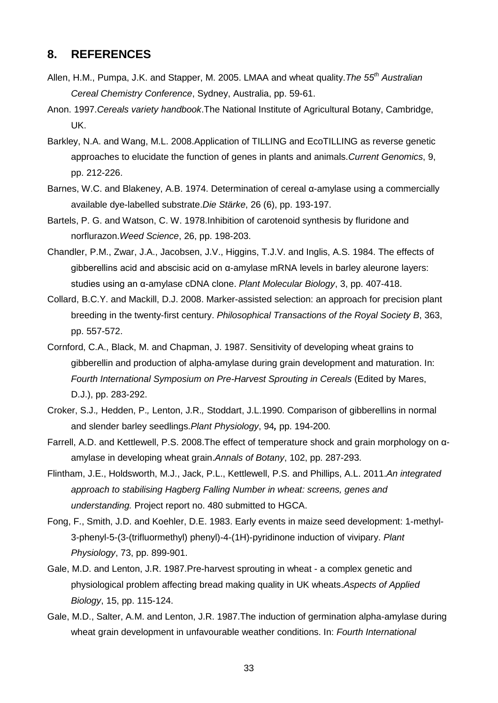## **8. REFERENCES**

- Allen, H.M., Pumpa, J.K. and Stapper, M. 2005. LMAA and wheat quality.*The 55th Australian Cereal Chemistry Conference*, Sydney, Australia, pp. 59-61.
- Anon. 1997.*Cereals variety handbook*.The National Institute of Agricultural Botany, Cambridge, UK.
- Barkley, N.A. and Wang, M.L. 2008.Application of TILLING and EcoTILLING as reverse genetic approaches to elucidate the function of genes in plants and animals.*Current Genomics*, 9, pp. 212-226.
- Barnes, W.C. and Blakeney, A.B. 1974. Determination of cereal α-amylase using a commercially available dye-labelled substrate.*Die Stärke*, 26 (6), pp. 193-197.
- Bartels, P. G. and Watson, C. W. 1978.Inhibition of carotenoid synthesis by fluridone and norflurazon.*Weed Science*, 26, pp. 198-203.
- Chandler, P.M., Zwar, J.A., Jacobsen, J.V., Higgins, T.J.V. and Inglis, A.S. 1984. The effects of gibberellins acid and abscisic acid on α-amylase mRNA levels in barley aleurone layers: studies using an α-amylase cDNA clone. *Plant Molecular Biology*, 3, pp. 407-418.
- Collard, B.C.Y. and Mackill, D.J. 2008. Marker-assisted selection: an approach for precision plant breeding in the twenty-first century. *Philosophical Transactions of the Royal Society B*, 363, pp. 557-572.
- Cornford, C.A., Black, M. and Chapman, J. 1987. Sensitivity of developing wheat grains to gibberellin and production of alpha-amylase during grain development and maturation. In: Fourth International Symposium on Pre-Harvest Sprouting in Cereals (Edited by Mares, D.J.), pp. 283-292.
- Croker, S.J.*,* Hedden, P.*,* Lenton, J.R.*,* Stoddart, J.L.1990. Comparison of gibberellins in normal and slender barley seedlings.*Plant Physiology*, 94*,* pp. 194*-*200*.*
- Farrell, A.D. and Kettlewell, P.S. 2008.The effect of temperature shock and grain morphology on αamylase in developing wheat grain.*Annals of Botany*, 102, pp. 287-293.
- Flintham, J.E., Holdsworth, M.J., Jack, P.L., Kettlewell, P.S. and Phillips, A.L. 2011.*An integrated approach to stabilising Hagberg Falling Number in wheat: screens, genes and understanding.* Project report no. 480 submitted to HGCA.
- Fong, F., Smith, J.D. and Koehler, D.E. 1983. Early events in maize seed development: 1-methyl-3-phenyl-5-(3-(trifluormethyl) phenyl)-4-(1H)-pyridinone induction of vivipary. *Plant Physiology*, 73, pp. 899-901.
- Gale, M.D. and Lenton, J.R. 1987.Pre-harvest sprouting in wheat a complex genetic and physiological problem affecting bread making quality in UK wheats.*Aspects of Applied Biology*, 15, pp. 115-124.
- Gale, M.D., Salter, A.M. and Lenton, J.R. 1987.The induction of germination alpha-amylase during wheat grain development in unfavourable weather conditions. In: *Fourth International*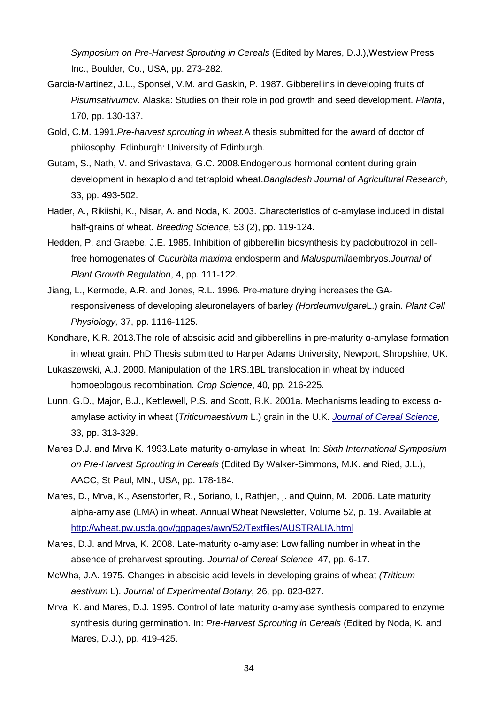*Symposium on Pre-Harvest Sprouting in Cereals* (Edited by Mares, D.J.),Westview Press Inc., Boulder, Co., USA, pp. 273-282.

- Garcia-Martinez, J.L., Sponsel, V.M. and Gaskin, P. 1987. Gibberellins in developing fruits of *Pisumsativum*cv. Alaska: Studies on their role in pod growth and seed development. *Planta*, 170, pp. 130-137.
- Gold, C.M. 1991.*Pre-harvest sprouting in wheat.*A thesis submitted for the award of doctor of philosophy. Edinburgh: University of Edinburgh.
- Gutam, S., Nath, V. and Srivastava, G.C. 2008.Endogenous hormonal content during grain development in hexaploid and tetraploid wheat.*Bangladesh Journal of Agricultural Research,*  33, pp. 493-502.
- Hader, A., Rikiishi, K., Nisar, A. and Noda, K. 2003. Characteristics of α-amylase induced in distal half-grains of wheat. *Breeding Science*, 53 (2), pp. 119-124.
- Hedden, P. and Graebe, J.E. 1985. Inhibition of gibberellin biosynthesis by paclobutrozol in cellfree homogenates of *Cucurbita maxima* endosperm and *Maluspumila*embryos.*Journal of Plant Growth Regulation*, 4, pp. 111-122.
- Jiang, L., Kermode, A.R. and Jones, R.L. 1996. Pre-mature drying increases the GAresponsiveness of developing aleuronelayers of barley *(Hordeumvulgare*L.) grain. *Plant Cell Physiology,* 37, pp. 1116-1125.
- Kondhare, K.R. 2013.The role of abscisic acid and gibberellins in pre-maturity α-amylase formation in wheat grain. PhD Thesis submitted to Harper Adams University, Newport, Shropshire, UK.
- Lukaszewski, A.J. 2000. Manipulation of the 1RS.1BL translocation in wheat by induced homoeologous recombination. *Crop Science*, 40, pp. 216-225.
- Lunn, G.D., Major, B.J., Kettlewell, P.S. and Scott, R.K. 2001a. Mechanisms leading to excess αamylase activity in wheat (*Triticumaestivum* L.) grain in the U.K. *[Journal of Cereal Science,](http://www.sciencedirect.com/science/journal/07335210)*  33, pp. 313-329.
- Mares D.J. and Mrva K. 1993.Late maturity α-amylase in wheat. In: *Sixth International Symposium on Pre-Harvest Sprouting in Cereals* (Edited By Walker-Simmons, M.K. and Ried, J.L.), AACC, St Paul, MN., USA, pp. 178-184.
- Mares, D., Mrva, K., Asenstorfer, R., Soriano, I., Rathjen, j. and Quinn, M. 2006. Late maturity alpha-amylase (LMA) in wheat. Annual Wheat Newsletter, Volume 52, p. 19. Available at <http://wheat.pw.usda.gov/ggpages/awn/52/Textfiles/AUSTRALIA.html>
- Mares, D.J. and Mrva, K. 2008. Late-maturity α-amylase: Low falling number in wheat in the absence of preharvest sprouting. *Journal of Cereal Science*, 47, pp. 6-17.
- McWha, J.A. 1975. Changes in abscisic acid levels in developing grains of wheat *(Triticum aestivum* L). *Journal of Experimental Botany*, 26, pp. 823-827.
- Mrva, K. and Mares, D.J. 1995. Control of late maturity α-amylase synthesis compared to enzyme synthesis during germination. In: *Pre-Harvest Sprouting in Cereals* (Edited by Noda, K. and Mares, D.J.), pp. 419-425.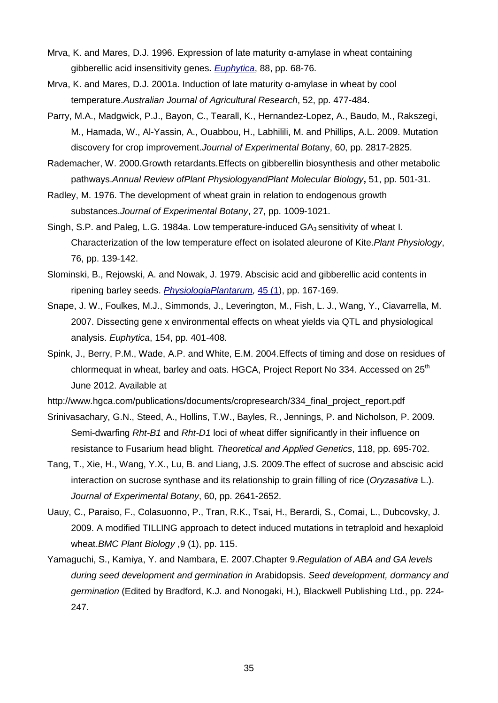- Mrva, K. and Mares, D.J. 1996. Expression of late maturity α-amylase in wheat containing gibberellic acid insensitivity genes**.** *[Euphytica](http://www.springerlink.com/content/0014-2336/)*, 88, pp. 68-76.
- Mrva, K. and Mares, D.J. 2001a. Induction of late maturity α-amylase in wheat by cool temperature.*Australian Journal of Agricultural Research*, 52, pp. 477-484.
- Parry, M.A., Madgwick, P.J., Bayon, C., Tearall, K., Hernandez-Lopez, A., Baudo, M., Rakszegi, M., Hamada, W., Al-Yassin, A., Ouabbou, H., Labhilili, M. and Phillips, A.L. 2009. Mutation discovery for crop improvement.*Journal of Experimental Bot*any, 60, pp. 2817-2825.
- Rademacher, W. 2000.Growth retardants.Effects on gibberellin biosynthesis and other metabolic pathways.*Annual Review ofPlant PhysiologyandPlant Molecular Biology***,** 51, pp. 501-31.
- Radley, M. 1976. The development of wheat grain in relation to endogenous growth substances.*Journal of Experimental Botany*, 27, pp. 1009-1021.
- Singh, S.P. and Paleg, L.G. 1984a. Low temperature-induced  $GA_3$  sensitivity of wheat I. Characterization of the low temperature effect on isolated aleurone of Kite.*Plant Physiology*, 76, pp. 139-142.
- Slominski, B., Rejowski, A. and Nowak, J. 1979. Abscisic acid and gibberellic acid contents in ripening barley seeds. *[PhysiologiaPlantarum,](http://www3.interscience.wiley.com/journal/118510326/home)* [45 \(1\)](http://www3.interscience.wiley.com/journal/119601667/issue), pp. 167-169.
- Snape, J. W., Foulkes, M.J., Simmonds, J., Leverington, M., Fish, L. J., Wang, Y., Ciavarrella, M. 2007. Dissecting gene x environmental effects on wheat yields via QTL and physiological analysis. *Euphytica*, 154, pp. 401-408.
- Spink, J., Berry, P.M., Wade, A.P. and White, E.M. 2004.Effects of timing and dose on residues of chlormequat in wheat, barley and oats. HGCA, Project Report No 334. Accessed on 25<sup>th</sup> June 2012. Available at
- http://www.hgca.com/publications/documents/cropresearch/334\_final\_project\_report.pdf
- Srinivasachary, G.N., Steed, A., Hollins, T.W., Bayles, R., Jennings, P. and Nicholson, P. 2009. Semi-dwarfing *Rht-B1* and *Rht-D1* loci of wheat differ significantly in their influence on resistance to Fusarium head blight. *Theoretical and Applied Genetics*, 118, pp. 695-702.
- Tang, T., Xie, H., Wang, Y.X., Lu, B. and Liang, J.S. 2009.The effect of sucrose and abscisic acid interaction on sucrose synthase and its relationship to grain filling of rice (*Oryzasativa* L.). *Journal of Experimental Botany*, 60, pp. 2641-2652.
- Uauy, C., Paraiso, F., Colasuonno, P., Tran, R.K., Tsai, H., Berardi, S., Comai, L., Dubcovsky, J. 2009. A modified TILLING approach to detect induced mutations in tetraploid and hexaploid wheat.*BMC Plant Biology* ,9 (1), pp. 115.
- Yamaguchi, S., Kamiya, Y. and Nambara, E. 2007.Chapter 9.*Regulation of ABA and GA levels during seed development and germination in* Arabidopsis. *Seed development, dormancy and germination* (Edited by Bradford, K.J. and Nonogaki, H.)*,* Blackwell Publishing Ltd., pp. 224- 247.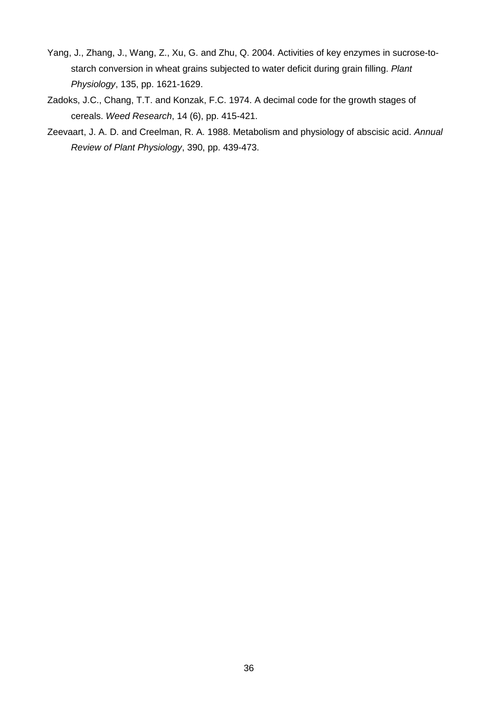- Yang, J., Zhang, J., Wang, Z., Xu, G. and Zhu, Q. 2004. Activities of key enzymes in sucrose-tostarch conversion in wheat grains subjected to water deficit during grain filling. *Plant Physiology*, 135, pp. 1621-1629.
- Zadoks, J.C., Chang, T.T. and Konzak, F.C. 1974. A decimal code for the growth stages of cereals. *Weed Research*, 14 (6), pp. 415-421.
- Zeevaart, J. A. D. and Creelman, R. A. 1988. Metabolism and physiology of abscisic acid. *Annual Review of Plant Physiology*, 390, pp. 439-473.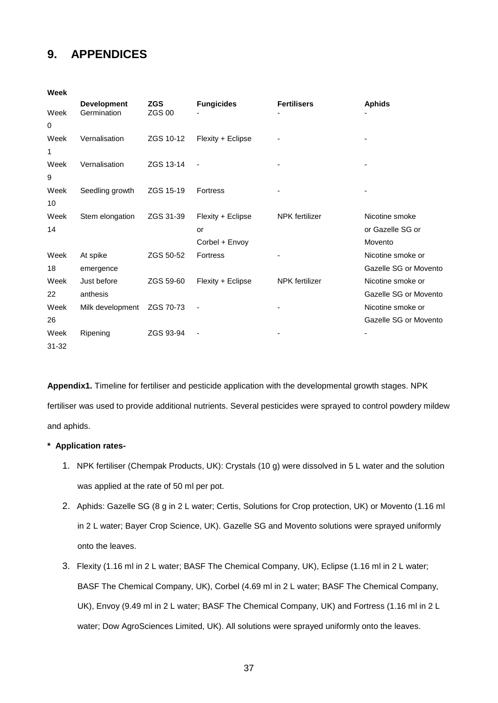## **9. APPENDICES**

**Week**

| <b>VYCCK</b> |                                   |                             |                   |                       |                       |
|--------------|-----------------------------------|-----------------------------|-------------------|-----------------------|-----------------------|
| Week         | <b>Development</b><br>Germination | <b>ZGS</b><br><b>ZGS 00</b> | <b>Fungicides</b> | <b>Fertilisers</b>    | <b>Aphids</b>         |
| 0            |                                   |                             |                   |                       |                       |
| Week         | Vernalisation                     | ZGS 10-12                   | Flexity + Eclipse |                       |                       |
| 1            |                                   |                             |                   |                       |                       |
| Week         | Vernalisation                     | ZGS 13-14                   |                   |                       |                       |
| 9            |                                   |                             |                   |                       |                       |
| Week         | Seedling growth                   | ZGS 15-19                   | <b>Fortress</b>   |                       |                       |
| 10           |                                   |                             |                   |                       |                       |
| Week         | Stem elongation                   | ZGS 31-39                   | Flexity + Eclipse | <b>NPK</b> fertilizer | Nicotine smoke        |
| 14           |                                   |                             | or                |                       | or Gazelle SG or      |
|              |                                   |                             | Corbel + Envoy    |                       | Movento               |
| Week         | At spike                          | ZGS 50-52                   | <b>Fortress</b>   |                       | Nicotine smoke or     |
| 18           | emergence                         |                             |                   |                       | Gazelle SG or Movento |
| Week         | Just before                       | ZGS 59-60                   | Flexity + Eclipse | <b>NPK</b> fertilizer | Nicotine smoke or     |
| 22           | anthesis                          |                             |                   |                       | Gazelle SG or Movento |
| Week         | Milk development                  | ZGS 70-73                   |                   |                       | Nicotine smoke or     |
| 26           |                                   |                             |                   |                       | Gazelle SG or Movento |
| Week         | Ripening                          | ZGS 93-94                   |                   |                       |                       |
| 31-32        |                                   |                             |                   |                       |                       |

**Appendix1.** Timeline for fertiliser and pesticide application with the developmental growth stages. NPK fertiliser was used to provide additional nutrients. Several pesticides were sprayed to control powdery mildew and aphids.

#### **\* Application rates-**

- 1. NPK fertiliser (Chempak Products, UK): Crystals (10 g) were dissolved in 5 L water and the solution was applied at the rate of 50 ml per pot.
- 2. Aphids: Gazelle SG (8 g in 2 L water; Certis, Solutions for Crop protection, UK) or Movento (1.16 ml in 2 L water; Bayer Crop Science, UK). Gazelle SG and Movento solutions were sprayed uniformly onto the leaves.
- 3. Flexity (1.16 ml in 2 L water; BASF The Chemical Company, UK), Eclipse (1.16 ml in 2 L water; BASF The Chemical Company, UK), Corbel (4.69 ml in 2 L water; BASF The Chemical Company, UK), Envoy (9.49 ml in 2 L water; BASF The Chemical Company, UK) and Fortress (1.16 ml in 2 L water; Dow AgroSciences Limited, UK). All solutions were sprayed uniformly onto the leaves.